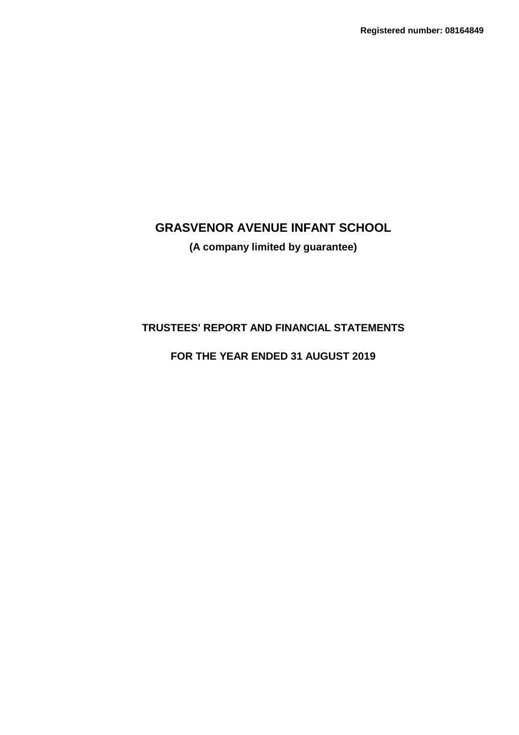## **(A company limited by guarantee)**

## **TRUSTEES' REPORT AND FINANCIAL STATEMENTS**

## **FOR THE YEAR ENDED 31 AUGUST 2019**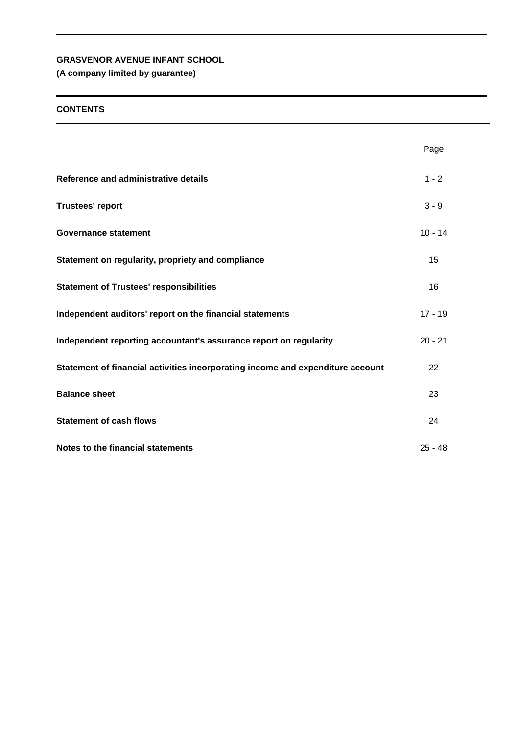## **(A company limited by guarantee)**

### **CONTENTS**

|                                                                                | Page      |
|--------------------------------------------------------------------------------|-----------|
| Reference and administrative details                                           | $1 - 2$   |
| <b>Trustees' report</b>                                                        | $3 - 9$   |
| <b>Governance statement</b>                                                    | $10 - 14$ |
| Statement on regularity, propriety and compliance                              | 15        |
| <b>Statement of Trustees' responsibilities</b>                                 | 16        |
| Independent auditors' report on the financial statements                       | $17 - 19$ |
| Independent reporting accountant's assurance report on regularity              | $20 - 21$ |
| Statement of financial activities incorporating income and expenditure account | 22        |
| <b>Balance sheet</b>                                                           | 23        |
| <b>Statement of cash flows</b>                                                 | 24        |
| Notes to the financial statements                                              | $25 - 48$ |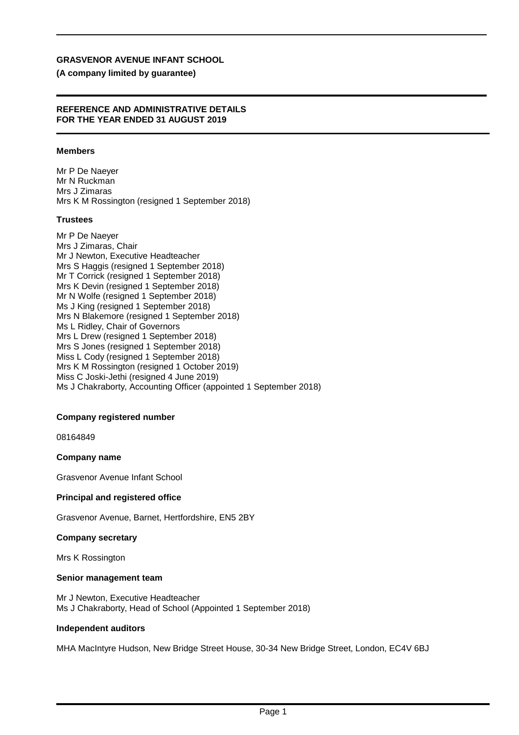#### **(A company limited by guarantee)**

#### **REFERENCE AND ADMINISTRATIVE DETAILS FOR THE YEAR ENDED 31 AUGUST 2019**

#### **Members**

Mr P De Naeyer Mr N Ruckman Mrs J Zimaras Mrs K M Rossington (resigned 1 September 2018)

#### **Trustees**

Mr P De Naeyer Mrs J Zimaras, Chair Mr J Newton, Executive Headteacher Mrs S Haggis (resigned 1 September 2018) Mr T Corrick (resigned 1 September 2018) Mrs K Devin (resigned 1 September 2018) Mr N Wolfe (resigned 1 September 2018) Ms J King (resigned 1 September 2018) Mrs N Blakemore (resigned 1 September 2018) Ms L Ridley, Chair of Governors Mrs L Drew (resigned 1 September 2018) Mrs S Jones (resigned 1 September 2018) Miss L Cody (resigned 1 September 2018) Mrs K M Rossington (resigned 1 October 2019) Miss C Joski-Jethi (resigned 4 June 2019) Ms J Chakraborty, Accounting Officer (appointed 1 September 2018)

#### **Company registered number**

08164849

#### **Company name**

Grasvenor Avenue Infant School

#### **Principal and registered office**

Grasvenor Avenue, Barnet, Hertfordshire, EN5 2BY

#### **Company secretary**

Mrs K Rossington

#### **Senior management team**

Mr J Newton, Executive Headteacher Ms J Chakraborty, Head of School (Appointed 1 September 2018)

#### **Independent auditors**

MHA MacIntyre Hudson, New Bridge Street House, 30-34 New Bridge Street, London, EC4V 6BJ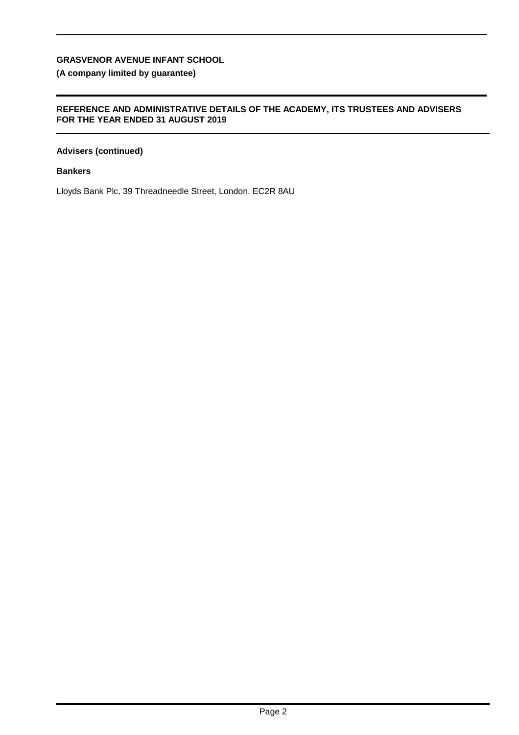## **(A company limited by guarantee)**

#### **REFERENCE AND ADMINISTRATIVE DETAILS OF THE ACADEMY, ITS TRUSTEES AND ADVISERS FOR THE YEAR ENDED 31 AUGUST 2019**

### **Advisers (continued)**

#### **Bankers**

Lloyds Bank Plc, 39 Threadneedle Street, London, EC2R 8AU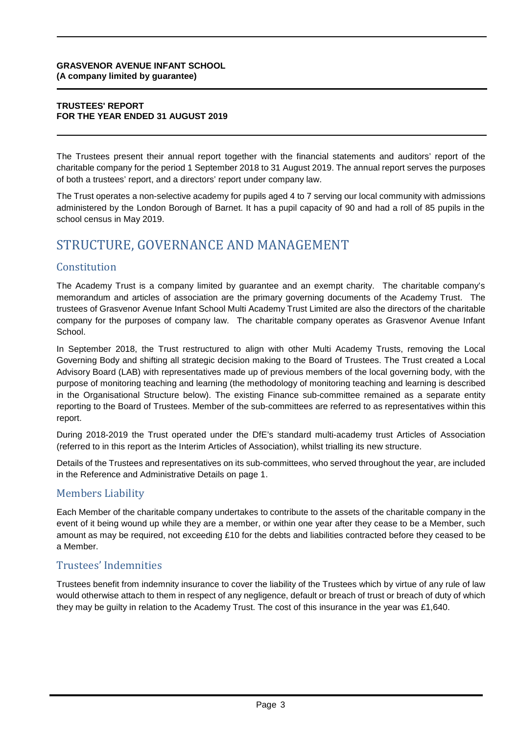#### **TRUSTEES' REPORT FOR THE YEAR ENDED 31 AUGUST 2019**

The Trustees present their annual report together with the financial statements and auditors' report of the charitable company for the period 1 September 2018 to 31 August 2019. The annual report serves the purposes of both a trustees' report, and a directors' report under company law.

The Trust operates a non-selective academy for pupils aged 4 to 7 serving our local community with admissions administered by the London Borough of Barnet. It has a pupil capacity of 90 and had a roll of 85 pupils in the school census in May 2019.

## STRUCTURE, GOVERNANCE AND MANAGEMENT

## Constitution

The Academy Trust is a company limited by guarantee and an exempt charity. The charitable company's memorandum and articles of association are the primary governing documents of the Academy Trust. The trustees of Grasvenor Avenue Infant School Multi Academy Trust Limited are also the directors of the charitable company for the purposes of company law. The charitable company operates as Grasvenor Avenue Infant School.

In September 2018, the Trust restructured to align with other Multi Academy Trusts, removing the Local Governing Body and shifting all strategic decision making to the Board of Trustees. The Trust created a Local Advisory Board (LAB) with representatives made up of previous members of the local governing body, with the purpose of monitoring teaching and learning (the methodology of monitoring teaching and learning is described in the Organisational Structure below). The existing Finance sub-committee remained as a separate entity reporting to the Board of Trustees. Member of the sub-committees are referred to as representatives within this report.

During 2018-2019 the Trust operated under the DfE's standard multi-academy trust Articles of Association (referred to in this report as the Interim Articles of Association), whilst trialling its new structure.

Details of the Trustees and representatives on its sub-committees, who served throughout the year, are included in the Reference and Administrative Details on page 1.

## Members Liability

Each Member of the charitable company undertakes to contribute to the assets of the charitable company in the event of it being wound up while they are a member, or within one year after they cease to be a Member, such amount as may be required, not exceeding £10 for the debts and liabilities contracted before they ceased to be a Member.

## Trustees' Indemnities

Trustees benefit from indemnity insurance to cover the liability of the Trustees which by virtue of any rule of law would otherwise attach to them in respect of any negligence, default or breach of trust or breach of duty of which they may be guilty in relation to the Academy Trust. The cost of this insurance in the year was £1,640.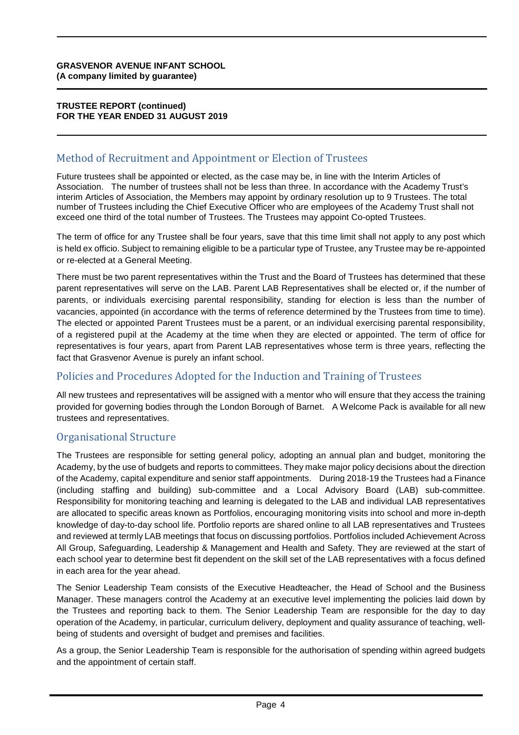#### **TRUSTEE REPORT (continued) FOR THE YEAR ENDED 31 AUGUST 2019**

## Method of Recruitment and Appointment or Election of Trustees

Future trustees shall be appointed or elected, as the case may be, in line with the Interim Articles of Association. The number of trustees shall not be less than three. In accordance with the Academy Trust's interim Articles of Association, the Members may appoint by ordinary resolution up to 9 Trustees. The total number of Trustees including the Chief Executive Officer who are employees of the Academy Trust shall not exceed one third of the total number of Trustees. The Trustees may appoint Co-opted Trustees.

The term of office for any Trustee shall be four years, save that this time limit shall not apply to any post which is held ex officio. Subject to remaining eligible to be a particular type of Trustee, any Trustee may be re-appointed or re-elected at a General Meeting.

There must be two parent representatives within the Trust and the Board of Trustees has determined that these parent representatives will serve on the LAB. Parent LAB Representatives shall be elected or, if the number of parents, or individuals exercising parental responsibility, standing for election is less than the number of vacancies, appointed (in accordance with the terms of reference determined by the Trustees from time to time). The elected or appointed Parent Trustees must be a parent, or an individual exercising parental responsibility, of a registered pupil at the Academy at the time when they are elected or appointed. The term of office for representatives is four years, apart from Parent LAB representatives whose term is three years, reflecting the fact that Grasvenor Avenue is purely an infant school.

## Policies and Procedures Adopted for the Induction and Training of Trustees

All new trustees and representatives will be assigned with a mentor who will ensure that they access the training provided for governing bodies through the London Borough of Barnet. A Welcome Pack is available for all new trustees and representatives.

## Organisational Structure

The Trustees are responsible for setting general policy, adopting an annual plan and budget, monitoring the Academy, by the use of budgets and reports to committees. They make major policy decisions about the direction of the Academy, capital expenditure and senior staff appointments. During 2018-19 the Trustees had a Finance (including staffing and building) sub-committee and a Local Advisory Board (LAB) sub-committee. Responsibility for monitoring teaching and learning is delegated to the LAB and individual LAB representatives are allocated to specific areas known as Portfolios, encouraging monitoring visits into school and more in-depth knowledge of day-to-day school life. Portfolio reports are shared online to all LAB representatives and Trustees and reviewed at termly LAB meetings that focus on discussing portfolios. Portfolios included Achievement Across All Group, Safeguarding, Leadership & Management and Health and Safety. They are reviewed at the start of each school year to determine best fit dependent on the skill set of the LAB representatives with a focus defined in each area for the year ahead.

The Senior Leadership Team consists of the Executive Headteacher, the Head of School and the Business Manager. These managers control the Academy at an executive level implementing the policies laid down by the Trustees and reporting back to them. The Senior Leadership Team are responsible for the day to day operation of the Academy, in particular, curriculum delivery, deployment and quality assurance of teaching, wellbeing of students and oversight of budget and premises and facilities.

As a group, the Senior Leadership Team is responsible for the authorisation of spending within agreed budgets and the appointment of certain staff.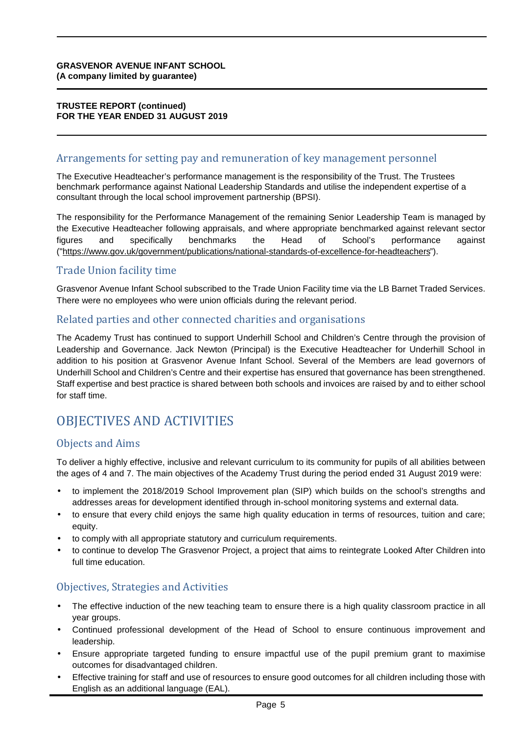#### **TRUSTEE REPORT (continued) FOR THE YEAR ENDED 31 AUGUST 2019**

## Arrangements for setting pay and remuneration of key management personnel

The Executive Headteacher's performance management is the responsibility of the Trust. The Trustees benchmark performance against National Leadership Standards and utilise the independent expertise of a consultant through the local school improvement partnership (BPSI).

The responsibility for the Performance Management of the remaining Senior Leadership Team is managed by the Executive Headteacher following appraisals, and where appropriate benchmarked against relevant sector figures and specifically benchmarks the Head of School's performance against ("<https://www.gov.uk/government/publications/national-standards-of-excellence-for-headteachers>").

## Trade Union facility time

Grasvenor Avenue Infant School subscribed to the Trade Union Facility time via the LB Barnet Traded Services. There were no employees who were union officials during the relevant period.

## Related parties and other connected charities and organisations

The Academy Trust has continued to support Underhill School and Children's Centre through the provision of Leadership and Governance. Jack Newton (Principal) is the Executive Headteacher for Underhill School in addition to his position at Grasvenor Avenue Infant School. Several of the Members are lead governors of Underhill School and Children's Centre and their expertise has ensured that governance has been strengthened. Staff expertise and best practice is shared between both schools and invoices are raised by and to either school for staff time.

## OBJECTIVES AND ACTIVITIES

## Objects and Aims

To deliver a highly effective, inclusive and relevant curriculum to its community for pupils of all abilities between the ages of 4 and 7. The main objectives of the Academy Trust during the period ended 31 August 2019 were:

- to implement the 2018/2019 School Improvement plan (SIP) which builds on the school's strengths and addresses areas for development identified through in-school monitoring systems and external data.
- to ensure that every child enjoys the same high quality education in terms of resources, tuition and care; equity.
- to comply with all appropriate statutory and curriculum requirements.
- to continue to develop The Grasvenor Project, a project that aims to reintegrate Looked After Children into full time education.

## Objectives, Strategies and Activities

- The effective induction of the new teaching team to ensure there is a high quality classroom practice in all year groups.
- Continued professional development of the Head of School to ensure continuous improvement and leadership.
- Ensure appropriate targeted funding to ensure impactful use of the pupil premium grant to maximise outcomes for disadvantaged children.
- Effective training for staff and use of resources to ensure good outcomes for all children including those with English as an additional language (EAL).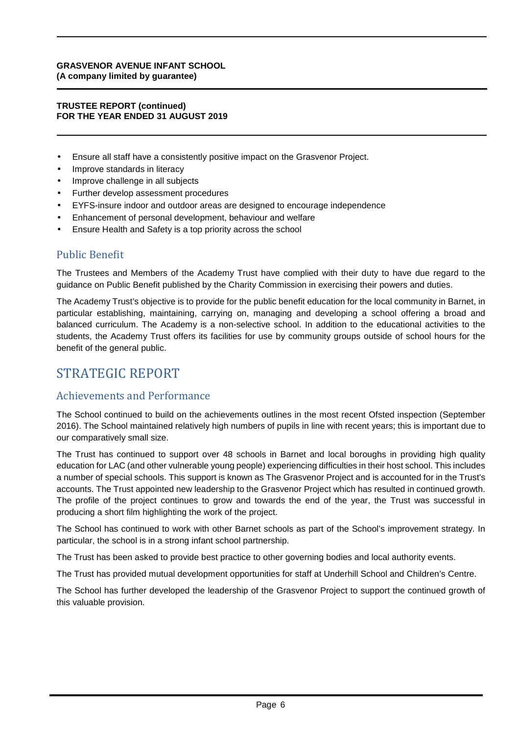#### **TRUSTEE REPORT (continued) FOR THE YEAR ENDED 31 AUGUST 2019**

- Ensure all staff have a consistently positive impact on the Grasvenor Project.
- Improve standards in literacy
- Improve challenge in all subjects
- Further develop assessment procedures
- EYFS-insure indoor and outdoor areas are designed to encourage independence
- Enhancement of personal development, behaviour and welfare
- Ensure Health and Safety is a top priority across the school

## Public Benefit

The Trustees and Members of the Academy Trust have complied with their duty to have due regard to the guidance on Public Benefit published by the Charity Commission in exercising their powers and duties.

The Academy Trust's objective is to provide for the public benefit education for the local community in Barnet, in particular establishing, maintaining, carrying on, managing and developing a school offering a broad and balanced curriculum. The Academy is a non-selective school. In addition to the educational activities to the students, the Academy Trust offers its facilities for use by community groups outside of school hours for the benefit of the general public.

## STRATEGIC REPORT

## Achievements and Performance

The School continued to build on the achievements outlines in the most recent Ofsted inspection (September 2016). The School maintained relatively high numbers of pupils in line with recent years; this is important due to our comparatively small size.

The Trust has continued to support over 48 schools in Barnet and local boroughs in providing high quality education for LAC (and other vulnerable young people) experiencing difficulties in their host school. This includes a number of special schools. This support is known as The Grasvenor Project and is accounted for in the Trust's accounts. The Trust appointed new leadership to the Grasvenor Project which has resulted in continued growth. The profile of the project continues to grow and towards the end of the year, the Trust was successful in producing a short film highlighting the work of the project.

The School has continued to work with other Barnet schools as part of the School's improvement strategy. In particular, the school is in a strong infant school partnership.

The Trust has been asked to provide best practice to other governing bodies and local authority events.

The Trust has provided mutual development opportunities for staff at Underhill School and Children's Centre.

The School has further developed the leadership of the Grasvenor Project to support the continued growth of this valuable provision.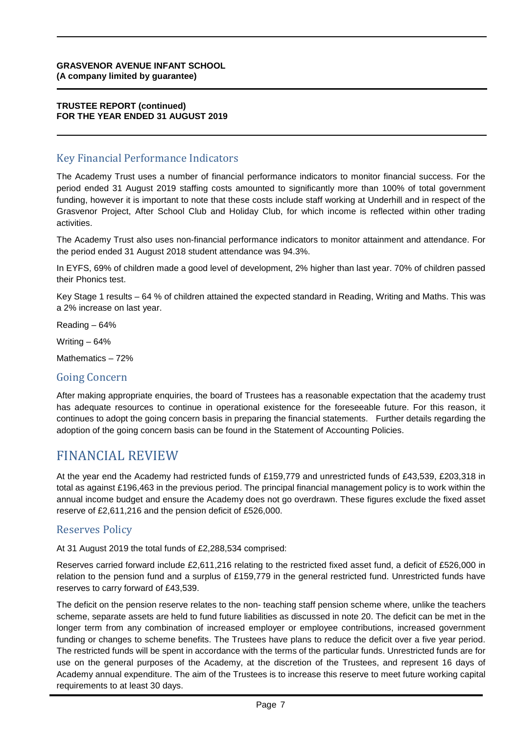#### **TRUSTEE REPORT (continued) FOR THE YEAR ENDED 31 AUGUST 2019**

## Key Financial Performance Indicators

The Academy Trust uses a number of financial performance indicators to monitor financial success. For the period ended 31 August 2019 staffing costs amounted to significantly more than 100% of total government funding, however it is important to note that these costs include staff working at Underhill and in respect of the Grasvenor Project, After School Club and Holiday Club, for which income is reflected within other trading activities.

The Academy Trust also uses non-financial performance indicators to monitor attainment and attendance. For the period ended 31 August 2018 student attendance was 94.3%.

In EYFS, 69% of children made a good level of development, 2% higher than last year. 70% of children passed their Phonics test.

Key Stage 1 results – 64 % of children attained the expected standard in Reading, Writing and Maths. This was a 2% increase on last year.

Reading – 64%

Writing  $-64%$ 

Mathematics – 72%

#### Going Concern

After making appropriate enquiries, the board of Trustees has a reasonable expectation that the academy trust has adequate resources to continue in operational existence for the foreseeable future. For this reason, it continues to adopt the going concern basis in preparing the financial statements. Further details regarding the adoption of the going concern basis can be found in the Statement of Accounting Policies.

## FINANCIAL REVIEW

At the year end the Academy had restricted funds of £159,779 and unrestricted funds of £43,539, £203,318 in total as against £196,463 in the previous period. The principal financial management policy is to work within the annual income budget and ensure the Academy does not go overdrawn. These figures exclude the fixed asset reserve of £2,611,216 and the pension deficit of £526,000.

## Reserves Policy

At 31 August 2019 the total funds of £2,288,534 comprised:

Reserves carried forward include £2,611,216 relating to the restricted fixed asset fund, a deficit of £526,000 in relation to the pension fund and a surplus of £159,779 in the general restricted fund. Unrestricted funds have reserves to carry forward of £43,539.

The deficit on the pension reserve relates to the non- teaching staff pension scheme where, unlike the teachers scheme, separate assets are held to fund future liabilities as discussed in note 20. The deficit can be met in the longer term from any combination of increased employer or employee contributions, increased government funding or changes to scheme benefits. The Trustees have plans to reduce the deficit over a five year period. The restricted funds will be spent in accordance with the terms of the particular funds. Unrestricted funds are for use on the general purposes of the Academy, at the discretion of the Trustees, and represent 16 days of Academy annual expenditure. The aim of the Trustees is to increase this reserve to meet future working capital requirements to at least 30 days.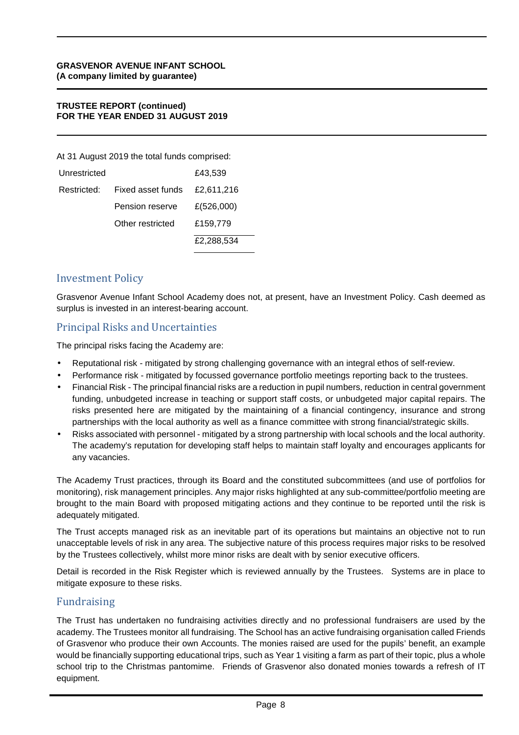#### **TRUSTEE REPORT (continued) FOR THE YEAR ENDED 31 AUGUST 2019**

At 31 August 2019 the total funds comprised:

| Unrestricted |                   | £43,539    |
|--------------|-------------------|------------|
| Restricted:  | Fixed asset funds | £2,611,216 |
|              | Pension reserve   | £(526,000) |
|              | Other restricted  | £159.779   |
|              |                   | £2,288,534 |

## Investment Policy

Grasvenor Avenue Infant School Academy does not, at present, have an Investment Policy. Cash deemed as surplus is invested in an interest-bearing account.

## Principal Risks and Uncertainties

The principal risks facing the Academy are:

- Reputational risk mitigated by strong challenging governance with an integral ethos of self-review.
- Performance risk mitigated by focussed governance portfolio meetings reporting back to the trustees.
- Financial Risk The principal financial risks are a reduction in pupil numbers, reduction in central government funding, unbudgeted increase in teaching or support staff costs, or unbudgeted major capital repairs. The risks presented here are mitigated by the maintaining of a financial contingency, insurance and strong partnerships with the local authority as well as a finance committee with strong financial/strategic skills.
- Risks associated with personnel mitigated by a strong partnership with local schools and the local authority. The academy's reputation for developing staff helps to maintain staff loyalty and encourages applicants for any vacancies.

The Academy Trust practices, through its Board and the constituted subcommittees (and use of portfolios for monitoring), risk management principles. Any major risks highlighted at any sub-committee/portfolio meeting are brought to the main Board with proposed mitigating actions and they continue to be reported until the risk is adequately mitigated.

The Trust accepts managed risk as an inevitable part of its operations but maintains an objective not to run unacceptable levels of risk in any area. The subjective nature of this process requires major risks to be resolved by the Trustees collectively, whilst more minor risks are dealt with by senior executive officers.

Detail is recorded in the Risk Register which is reviewed annually by the Trustees. Systems are in place to mitigate exposure to these risks.

## Fundraising

The Trust has undertaken no fundraising activities directly and no professional fundraisers are used by the academy. The Trustees monitor all fundraising. The School has an active fundraising organisation called Friends of Grasvenor who produce their own Accounts. The monies raised are used for the pupils' benefit, an example would be financially supporting educational trips, such as Year 1 visiting a farm as part of their topic, plus a whole school trip to the Christmas pantomime. Friends of Grasvenor also donated monies towards a refresh of IT equipment.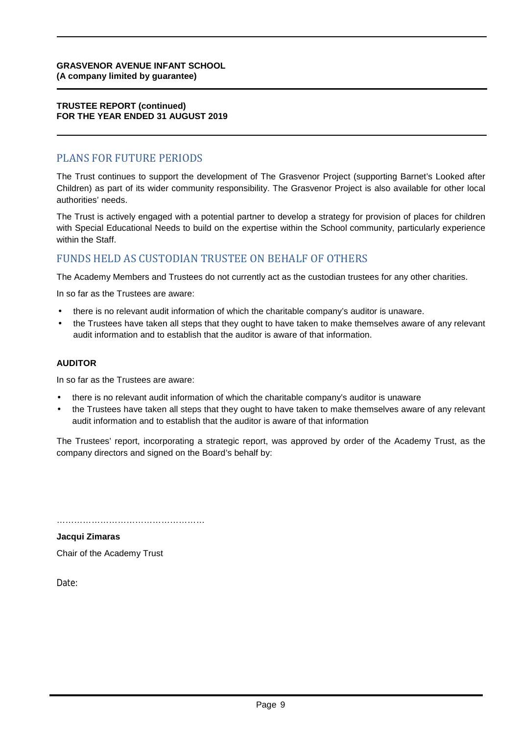#### **TRUSTEE REPORT (continued) FOR THE YEAR ENDED 31 AUGUST 2019**

## PLANS FOR FUTURE PERIODS

The Trust continues to support the development of The Grasvenor Project (supporting Barnet's Looked after Children) as part of its wider community responsibility. The Grasvenor Project is also available for other local authorities' needs.

The Trust is actively engaged with a potential partner to develop a strategy for provision of places for children with Special Educational Needs to build on the expertise within the School community, particularly experience within the Staff.

## FUNDS HELD AS CUSTODIAN TRUSTEE ON BEHALF OF OTHERS

The Academy Members and Trustees do not currently act as the custodian trustees for any other charities.

In so far as the Trustees are aware:

- there is no relevant audit information of which the charitable company's auditor is unaware.
- the Trustees have taken all steps that they ought to have taken to make themselves aware of any relevant audit information and to establish that the auditor is aware of that information.

#### **AUDITOR**

In so far as the Trustees are aware:

- there is no relevant audit information of which the charitable company's auditor is unaware
- the Trustees have taken all steps that they ought to have taken to make themselves aware of any relevant audit information and to establish that the auditor is aware of that information

The Trustees' report, incorporating a strategic report, was approved by order of the Academy Trust, as the company directors and signed on the Board's behalf by:

……………………………………………

**Jacqui Zimaras**  Chair of the Academy Trust

Date: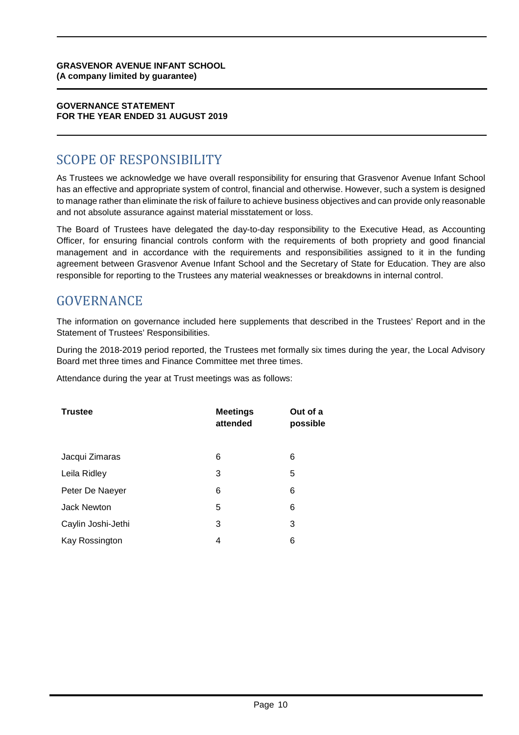#### **GOVERNANCE STATEMENT FOR THE YEAR ENDED 31 AUGUST 2019**

## SCOPE OF RESPONSIBILITY

As Trustees we acknowledge we have overall responsibility for ensuring that Grasvenor Avenue Infant School has an effective and appropriate system of control, financial and otherwise. However, such a system is designed to manage rather than eliminate the risk of failure to achieve business objectives and can provide only reasonable and not absolute assurance against material misstatement or loss.

The Board of Trustees have delegated the day-to-day responsibility to the Executive Head, as Accounting Officer, for ensuring financial controls conform with the requirements of both propriety and good financial management and in accordance with the requirements and responsibilities assigned to it in the funding agreement between Grasvenor Avenue Infant School and the Secretary of State for Education. They are also responsible for reporting to the Trustees any material weaknesses or breakdowns in internal control.

## GOVERNANCE

The information on governance included here supplements that described in the Trustees' Report and in the Statement of Trustees' Responsibilities.

During the 2018-2019 period reported, the Trustees met formally six times during the year, the Local Advisory Board met three times and Finance Committee met three times.

Attendance during the year at Trust meetings was as follows:

| <b>Trustee</b>     | <b>Meetings</b><br>attended | Out of a<br>possible |
|--------------------|-----------------------------|----------------------|
| Jacqui Zimaras     | 6                           | 6                    |
| Leila Ridley       | 3                           | 5                    |
| Peter De Naeyer    | 6                           | 6                    |
| <b>Jack Newton</b> | 5                           | 6                    |
| Caylin Joshi-Jethi | 3                           | 3                    |
| Kay Rossington     | 4                           | 6                    |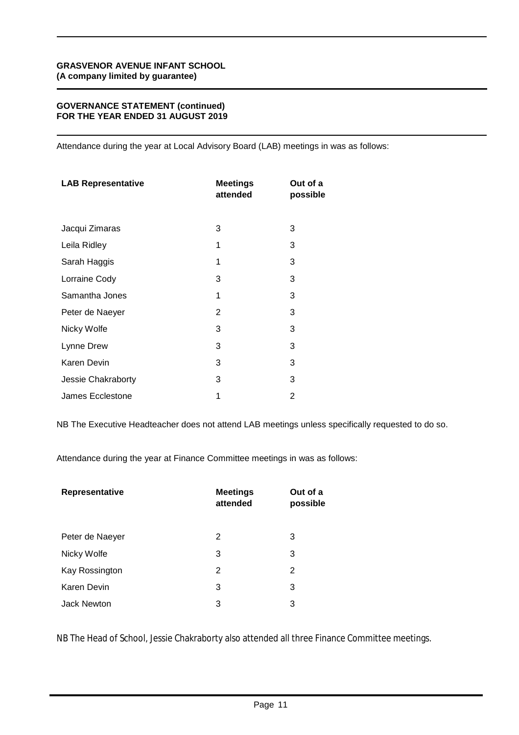#### **GOVERNANCE STATEMENT (continued) FOR THE YEAR ENDED 31 AUGUST 2019**

Attendance during the year at Local Advisory Board (LAB) meetings in was as follows:

| <b>LAB Representative</b> | <b>Meetings</b><br>attended | Out of a<br>possible |
|---------------------------|-----------------------------|----------------------|
| Jacqui Zimaras            | 3                           | 3                    |
| Leila Ridley              | 1                           | 3                    |
| Sarah Haggis              | 1                           | 3                    |
| Lorraine Cody             | 3                           | 3                    |
| Samantha Jones            | 1                           | 3                    |
| Peter de Naeyer           | $\overline{2}$              | 3                    |
| Nicky Wolfe               | 3                           | 3                    |
| Lynne Drew                | 3                           | 3                    |
| Karen Devin               | 3                           | 3                    |
| Jessie Chakraborty        | 3                           | 3                    |
| James Ecclestone          | 1                           | 2                    |

NB The Executive Headteacher does not attend LAB meetings unless specifically requested to do so.

Attendance during the year at Finance Committee meetings in was as follows:

| Representative     | <b>Meetings</b><br>attended | Out of a<br>possible |
|--------------------|-----------------------------|----------------------|
| Peter de Naeyer    | 2                           | 3                    |
| Nicky Wolfe        | 3                           | 3                    |
| Kay Rossington     | 2                           | 2                    |
| Karen Devin        | 3                           | 3                    |
| <b>Jack Newton</b> | 3                           | 3                    |

NB The Head of School, Jessie Chakraborty also attended all three Finance Committee meetings.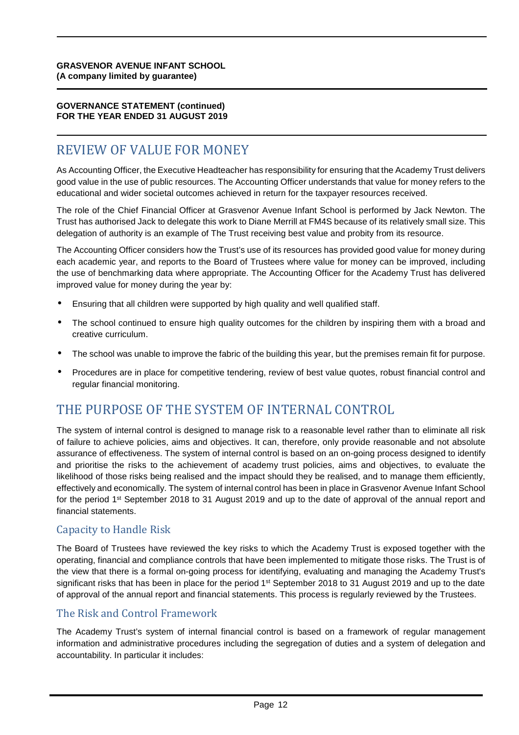#### **GOVERNANCE STATEMENT (continued) FOR THE YEAR ENDED 31 AUGUST 2019**

## REVIEW OF VALUE FOR MONEY

As Accounting Officer, the Executive Headteacher has responsibility for ensuring that the Academy Trust delivers good value in the use of public resources. The Accounting Officer understands that value for money refers to the educational and wider societal outcomes achieved in return for the taxpayer resources received.

The role of the Chief Financial Officer at Grasvenor Avenue Infant School is performed by Jack Newton. The Trust has authorised Jack to delegate this work to Diane Merrill at FM4S because of its relatively small size. This delegation of authority is an example of The Trust receiving best value and probity from its resource.

The Accounting Officer considers how the Trust's use of its resources has provided good value for money during each academic year, and reports to the Board of Trustees where value for money can be improved, including the use of benchmarking data where appropriate. The Accounting Officer for the Academy Trust has delivered improved value for money during the year by:

- Ensuring that all children were supported by high quality and well qualified staff.
- The school continued to ensure high quality outcomes for the children by inspiring them with a broad and creative curriculum.
- The school was unable to improve the fabric of the building this year, but the premises remain fit for purpose.
- Procedures are in place for competitive tendering, review of best value quotes, robust financial control and regular financial monitoring.

## THE PURPOSE OF THE SYSTEM OF INTERNAL CONTROL

The system of internal control is designed to manage risk to a reasonable level rather than to eliminate all risk of failure to achieve policies, aims and objectives. It can, therefore, only provide reasonable and not absolute assurance of effectiveness. The system of internal control is based on an on-going process designed to identify and prioritise the risks to the achievement of academy trust policies, aims and objectives, to evaluate the likelihood of those risks being realised and the impact should they be realised, and to manage them efficiently, effectively and economically. The system of internal control has been in place in Grasvenor Avenue Infant School for the period 1<sup>st</sup> September 2018 to 31 August 2019 and up to the date of approval of the annual report and financial statements.

## Capacity to Handle Risk

The Board of Trustees have reviewed the key risks to which the Academy Trust is exposed together with the operating, financial and compliance controls that have been implemented to mitigate those risks. The Trust is of the view that there is a formal on-going process for identifying, evaluating and managing the Academy Trust's significant risks that has been in place for the period 1<sup>st</sup> September 2018 to 31 August 2019 and up to the date of approval of the annual report and financial statements. This process is regularly reviewed by the Trustees.

## The Risk and Control Framework

The Academy Trust's system of internal financial control is based on a framework of regular management information and administrative procedures including the segregation of duties and a system of delegation and accountability. In particular it includes: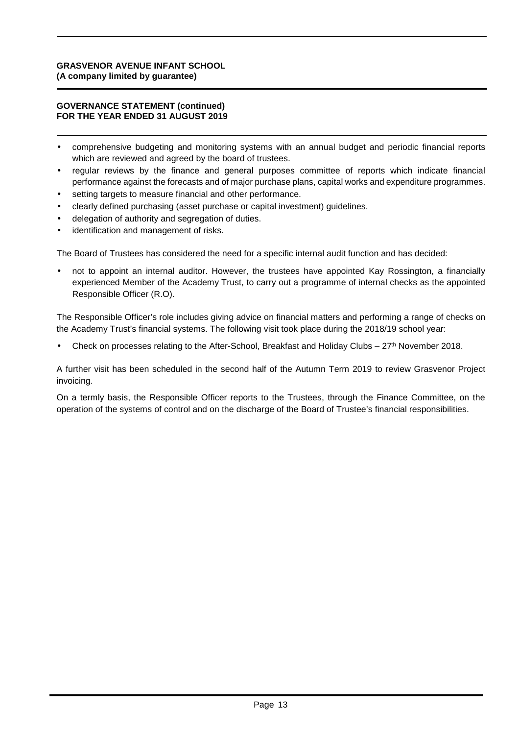#### **GOVERNANCE STATEMENT (continued) FOR THE YEAR ENDED 31 AUGUST 2019**

- comprehensive budgeting and monitoring systems with an annual budget and periodic financial reports which are reviewed and agreed by the board of trustees.
- regular reviews by the finance and general purposes committee of reports which indicate financial performance against the forecasts and of major purchase plans, capital works and expenditure programmes.
- setting targets to measure financial and other performance.
- clearly defined purchasing (asset purchase or capital investment) guidelines.
- delegation of authority and segregation of duties.
- identification and management of risks.

The Board of Trustees has considered the need for a specific internal audit function and has decided:

• not to appoint an internal auditor. However, the trustees have appointed Kay Rossington, a financially experienced Member of the Academy Trust, to carry out a programme of internal checks as the appointed Responsible Officer (R.O).

The Responsible Officer's role includes giving advice on financial matters and performing a range of checks on the Academy Trust's financial systems. The following visit took place during the 2018/19 school year:

Check on processes relating to the After-School, Breakfast and Holiday Clubs –  $27<sup>th</sup>$  November 2018.

A further visit has been scheduled in the second half of the Autumn Term 2019 to review Grasvenor Project invoicing.

On a termly basis, the Responsible Officer reports to the Trustees, through the Finance Committee, on the operation of the systems of control and on the discharge of the Board of Trustee's financial responsibilities.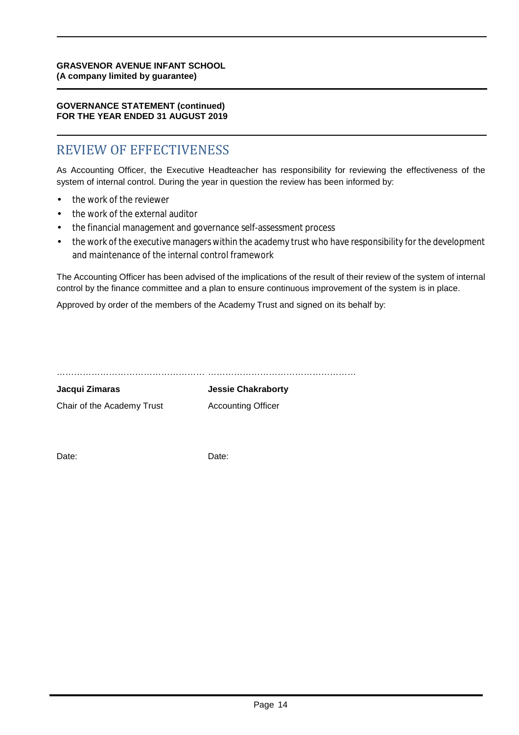#### **GOVERNANCE STATEMENT (continued) FOR THE YEAR ENDED 31 AUGUST 2019**

## REVIEW OF EFFECTIVENESS

As Accounting Officer, the Executive Headteacher has responsibility for reviewing the effectiveness of the system of internal control. During the year in question the review has been informed by:

- the work of the reviewer
- the work of the external auditor
- the financial management and governance self-assessment process
- the work of the executive managers within the academy trust who have responsibility for the development and maintenance of the internal control framework

The Accounting Officer has been advised of the implications of the result of their review of the system of internal control by the finance committee and a plan to ensure continuous improvement of the system is in place.

Approved by order of the members of the Academy Trust and signed on its behalf by:

…………………………………………… ……………………………………………

**Jacqui Zimaras Jessie Chakraborty** Chair of the Academy Trust **Accounting Officer** 

Date: Date: Date: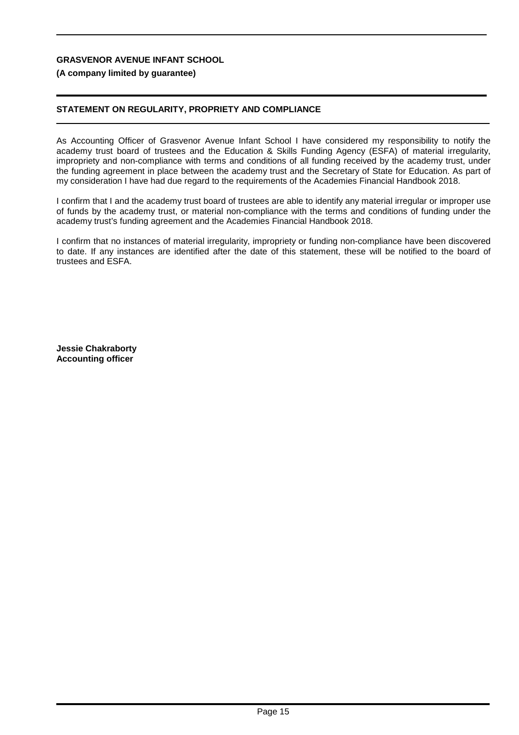#### **(A company limited by guarantee)**

#### **STATEMENT ON REGULARITY, PROPRIETY AND COMPLIANCE**

As Accounting Officer of Grasvenor Avenue Infant School I have considered my responsibility to notify the academy trust board of trustees and the Education & Skills Funding Agency (ESFA) of material irregularity, impropriety and non-compliance with terms and conditions of all funding received by the academy trust, under the funding agreement in place between the academy trust and the Secretary of State for Education. As part of my consideration I have had due regard to the requirements of the Academies Financial Handbook 2018.

I confirm that I and the academy trust board of trustees are able to identify any material irregular or improper use of funds by the academy trust, or material non-compliance with the terms and conditions of funding under the academy trust's funding agreement and the Academies Financial Handbook 2018.

I confirm that no instances of material irregularity, impropriety or funding non-compliance have been discovered to date. If any instances are identified after the date of this statement, these will be notified to the board of trustees and ESFA.

**Jessie Chakraborty Accounting officer**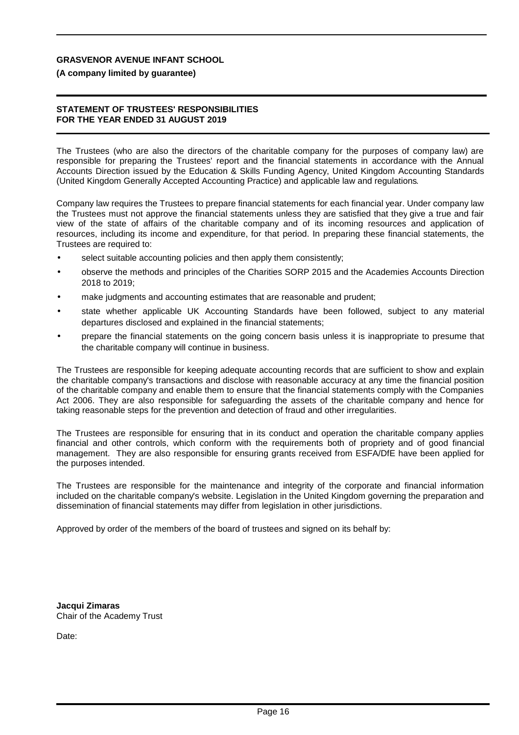#### **(A company limited by guarantee)**

#### **STATEMENT OF TRUSTEES' RESPONSIBILITIES FOR THE YEAR ENDED 31 AUGUST 2019**

The Trustees (who are also the directors of the charitable company for the purposes of company law) are responsible for preparing the Trustees' report and the financial statements in accordance with the Annual Accounts Direction issued by the Education & Skills Funding Agency, United Kingdom Accounting Standards (United Kingdom Generally Accepted Accounting Practice) and applicable law and regulations.

Company law requires the Trustees to prepare financial statements for each financial year. Under company law the Trustees must not approve the financial statements unless they are satisfied that they give a true and fair view of the state of affairs of the charitable company and of its incoming resources and application of resources, including its income and expenditure, for that period. In preparing these financial statements, the Trustees are required to:

- select suitable accounting policies and then apply them consistently;
- observe the methods and principles of the Charities SORP 2015 and the Academies Accounts Direction 2018 to 2019;
- make judgments and accounting estimates that are reasonable and prudent;
- state whether applicable UK Accounting Standards have been followed, subject to any material departures disclosed and explained in the financial statements;
- prepare the financial statements on the going concern basis unless it is inappropriate to presume that the charitable company will continue in business.

The Trustees are responsible for keeping adequate accounting records that are sufficient to show and explain the charitable company's transactions and disclose with reasonable accuracy at any time the financial position of the charitable company and enable them to ensure that the financial statements comply with the Companies Act 2006. They are also responsible for safeguarding the assets of the charitable company and hence for taking reasonable steps for the prevention and detection of fraud and other irregularities.

The Trustees are responsible for ensuring that in its conduct and operation the charitable company applies financial and other controls, which conform with the requirements both of propriety and of good financial management. They are also responsible for ensuring grants received from ESFA/DfE have been applied for the purposes intended.

The Trustees are responsible for the maintenance and integrity of the corporate and financial information included on the charitable company's website. Legislation in the United Kingdom governing the preparation and dissemination of financial statements may differ from legislation in other jurisdictions.

Approved by order of the members of the board of trustees and signed on its behalf by:

**Jacqui Zimaras** Chair of the Academy Trust

Date: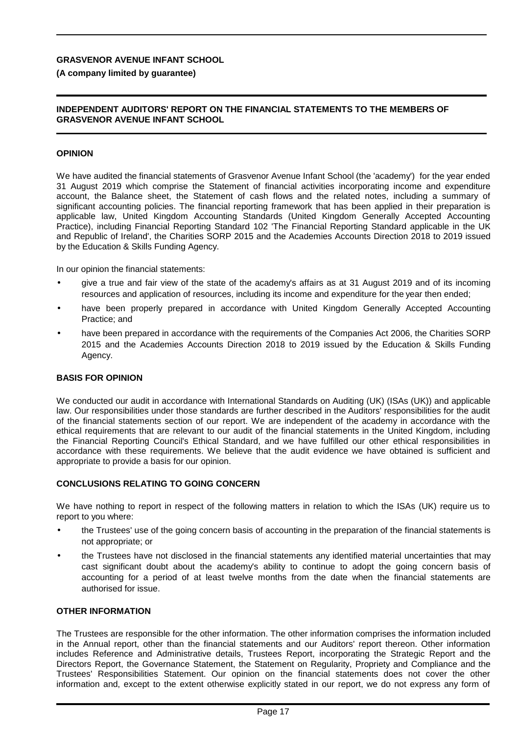#### **(A company limited by guarantee)**

#### **INDEPENDENT AUDITORS' REPORT ON THE FINANCIAL STATEMENTS TO THE MEMBERS OF GRASVENOR AVENUE INFANT SCHOOL**

#### **OPINION**

We have audited the financial statements of Grasvenor Avenue Infant School (the 'academy') for the year ended 31 August 2019 which comprise the Statement of financial activities incorporating income and expenditure account, the Balance sheet, the Statement of cash flows and the related notes, including a summary of significant accounting policies. The financial reporting framework that has been applied in their preparation is applicable law, United Kingdom Accounting Standards (United Kingdom Generally Accepted Accounting Practice), including Financial Reporting Standard 102 'The Financial Reporting Standard applicable in the UK and Republic of Ireland', the Charities SORP 2015 and the Academies Accounts Direction 2018 to 2019 issued by the Education & Skills Funding Agency.

In our opinion the financial statements:

- give a true and fair view of the state of the academy's affairs as at 31 August 2019 and of its incoming resources and application of resources, including its income and expenditure for the year then ended;
- have been properly prepared in accordance with United Kingdom Generally Accepted Accounting Practice; and
- have been prepared in accordance with the requirements of the Companies Act 2006, the Charities SORP 2015 and the Academies Accounts Direction 2018 to 2019 issued by the Education & Skills Funding Agency.

#### **BASIS FOR OPINION**

We conducted our audit in accordance with International Standards on Auditing (UK) (ISAs (UK)) and applicable law. Our responsibilities under those standards are further described in the Auditors' responsibilities for the audit of the financial statements section of our report. We are independent of the academy in accordance with the ethical requirements that are relevant to our audit of the financial statements in the United Kingdom, including the Financial Reporting Council's Ethical Standard, and we have fulfilled our other ethical responsibilities in accordance with these requirements. We believe that the audit evidence we have obtained is sufficient and appropriate to provide a basis for our opinion.

#### **CONCLUSIONS RELATING TO GOING CONCERN**

We have nothing to report in respect of the following matters in relation to which the ISAs (UK) require us to report to you where:

- the Trustees' use of the going concern basis of accounting in the preparation of the financial statements is not appropriate; or
- the Trustees have not disclosed in the financial statements any identified material uncertainties that may cast significant doubt about the academy's ability to continue to adopt the going concern basis of accounting for a period of at least twelve months from the date when the financial statements are authorised for issue.

#### **OTHER INFORMATION**

The Trustees are responsible for the other information. The other information comprises the information included in the Annual report, other than the financial statements and our Auditors' report thereon. Other information includes Reference and Administrative details, Trustees Report, incorporating the Strategic Report and the Directors Report, the Governance Statement, the Statement on Regularity, Propriety and Compliance and the Trustees' Responsibilities Statement. Our opinion on the financial statements does not cover the other information and, except to the extent otherwise explicitly stated in our report, we do not express any form of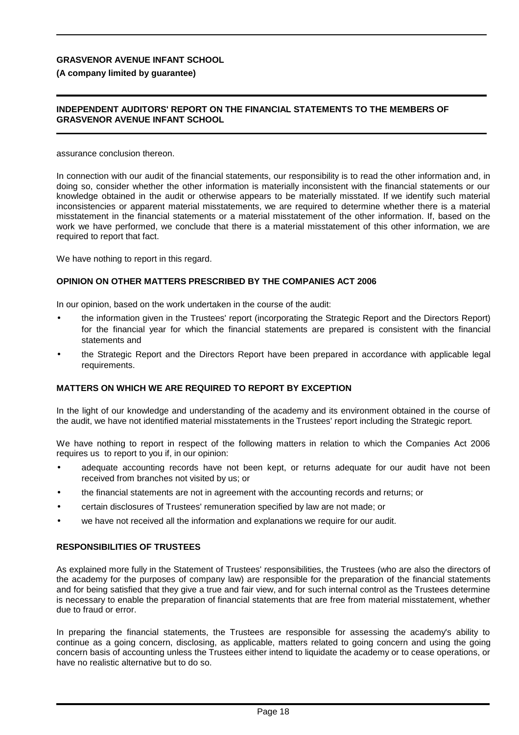#### **(A company limited by guarantee)**

#### **INDEPENDENT AUDITORS' REPORT ON THE FINANCIAL STATEMENTS TO THE MEMBERS OF GRASVENOR AVENUE INFANT SCHOOL**

assurance conclusion thereon.

In connection with our audit of the financial statements, our responsibility is to read the other information and, in doing so, consider whether the other information is materially inconsistent with the financial statements or our knowledge obtained in the audit or otherwise appears to be materially misstated. If we identify such material inconsistencies or apparent material misstatements, we are required to determine whether there is a material misstatement in the financial statements or a material misstatement of the other information. If, based on the work we have performed, we conclude that there is a material misstatement of this other information, we are required to report that fact.

We have nothing to report in this regard.

#### **OPINION ON OTHER MATTERS PRESCRIBED BY THE COMPANIES ACT 2006**

In our opinion, based on the work undertaken in the course of the audit:

- the information given in the Trustees' report (incorporating the Strategic Report and the Directors Report) for the financial year for which the financial statements are prepared is consistent with the financial statements and
- the Strategic Report and the Directors Report have been prepared in accordance with applicable legal requirements.

#### **MATTERS ON WHICH WE ARE REQUIRED TO REPORT BY EXCEPTION**

In the light of our knowledge and understanding of the academy and its environment obtained in the course of the audit, we have not identified material misstatements in the Trustees' report including the Strategic report.

We have nothing to report in respect of the following matters in relation to which the Companies Act 2006 requires us to report to you if, in our opinion:

- adequate accounting records have not been kept, or returns adequate for our audit have not been received from branches not visited by us; or
- the financial statements are not in agreement with the accounting records and returns; or
- certain disclosures of Trustees' remuneration specified by law are not made; or
- we have not received all the information and explanations we require for our audit.

#### **RESPONSIBILITIES OF TRUSTEES**

As explained more fully in the Statement of Trustees' responsibilities, the Trustees (who are also the directors of the academy for the purposes of company law) are responsible for the preparation of the financial statements and for being satisfied that they give a true and fair view, and for such internal control as the Trustees determine is necessary to enable the preparation of financial statements that are free from material misstatement, whether due to fraud or error.

In preparing the financial statements, the Trustees are responsible for assessing the academy's ability to continue as a going concern, disclosing, as applicable, matters related to going concern and using the going concern basis of accounting unless the Trustees either intend to liquidate the academy or to cease operations, or have no realistic alternative but to do so.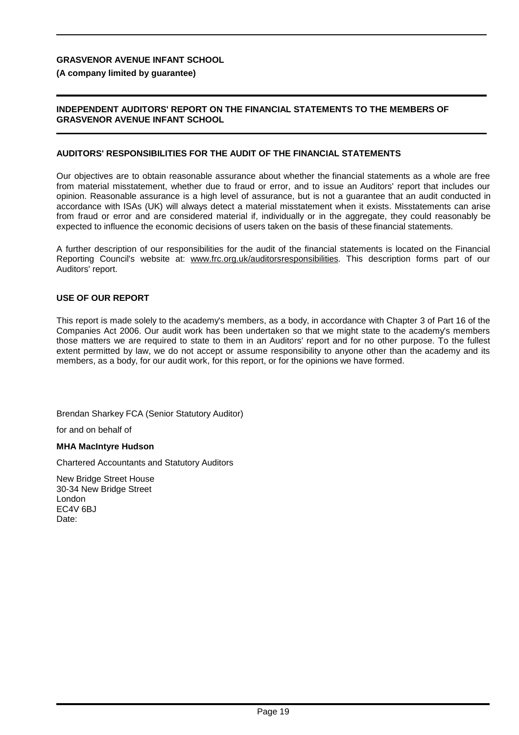#### **(A company limited by guarantee)**

#### **INDEPENDENT AUDITORS' REPORT ON THE FINANCIAL STATEMENTS TO THE MEMBERS OF GRASVENOR AVENUE INFANT SCHOOL**

#### **AUDITORS' RESPONSIBILITIES FOR THE AUDIT OF THE FINANCIAL STATEMENTS**

Our objectives are to obtain reasonable assurance about whether the financial statements as a whole are free from material misstatement, whether due to fraud or error, and to issue an Auditors' report that includes our opinion. Reasonable assurance is a high level of assurance, but is not a guarantee that an audit conducted in accordance with ISAs (UK) will always detect a material misstatement when it exists. Misstatements can arise from fraud or error and are considered material if, individually or in the aggregate, they could reasonably be expected to influence the economic decisions of users taken on the basis of these financial statements.

A further description of our responsibilities for the audit of the financial statements is located on the Financial Reporting Council's website at: [www.frc.org.uk/auditorsresponsibilities.](http://www.frc.org.uk/auditorsresponsibilities) This description forms part of our Auditors' report.

#### **USE OF OUR REPORT**

This report is made solely to the academy's members, as a body, in accordance with Chapter 3 of Part 16 of the Companies Act 2006. Our audit work has been undertaken so that we might state to the academy's members those matters we are required to state to them in an Auditors' report and for no other purpose. To the fullest extent permitted by law, we do not accept or assume responsibility to anyone other than the academy and its members, as a body, for our audit work, for this report, or for the opinions we have formed.

Brendan Sharkey FCA (Senior Statutory Auditor)

for and on behalf of

#### **MHA MacIntyre Hudson**

Chartered Accountants and Statutory Auditors

New Bridge Street House 30-34 New Bridge Street London EC4V 6BJ Date: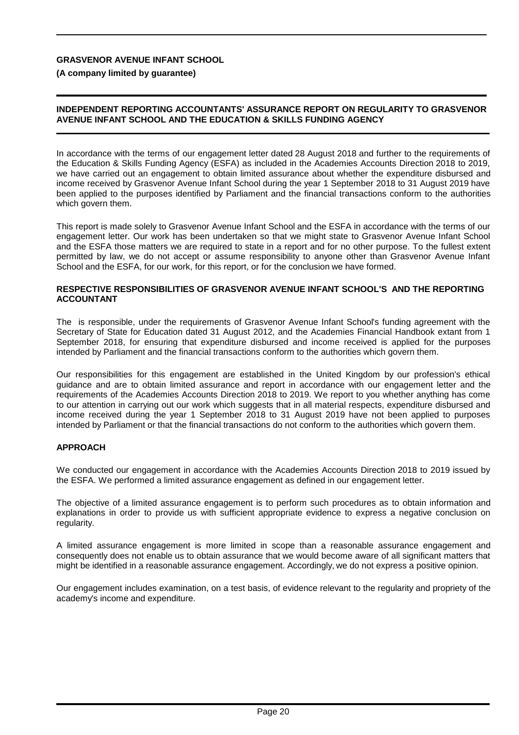**(A company limited by guarantee)**

#### **INDEPENDENT REPORTING ACCOUNTANTS' ASSURANCE REPORT ON REGULARITY TO GRASVENOR AVENUE INFANT SCHOOL AND THE EDUCATION & SKILLS FUNDING AGENCY**

In accordance with the terms of our engagement letter dated 28 August 2018 and further to the requirements of the Education & Skills Funding Agency (ESFA) as included in the Academies Accounts Direction 2018 to 2019, we have carried out an engagement to obtain limited assurance about whether the expenditure disbursed and income received by Grasvenor Avenue Infant School during the year 1 September 2018 to 31 August 2019 have been applied to the purposes identified by Parliament and the financial transactions conform to the authorities which govern them.

This report is made solely to Grasvenor Avenue Infant School and the ESFA in accordance with the terms of our engagement letter. Our work has been undertaken so that we might state to Grasvenor Avenue Infant School and the ESFA those matters we are required to state in a report and for no other purpose. To the fullest extent permitted by law, we do not accept or assume responsibility to anyone other than Grasvenor Avenue Infant School and the ESFA, for our work, for this report, or for the conclusion we have formed.

#### **RESPECTIVE RESPONSIBILITIES OF GRASVENOR AVENUE INFANT SCHOOL'S AND THE REPORTING ACCOUNTANT**

The is responsible, under the requirements of Grasvenor Avenue Infant School's funding agreement with the Secretary of State for Education dated 31 August 2012, and the Academies Financial Handbook extant from 1 September 2018, for ensuring that expenditure disbursed and income received is applied for the purposes intended by Parliament and the financial transactions conform to the authorities which govern them.

Our responsibilities for this engagement are established in the United Kingdom by our profession's ethical guidance and are to obtain limited assurance and report in accordance with our engagement letter and the requirements of the Academies Accounts Direction 2018 to 2019. We report to you whether anything has come to our attention in carrying out our work which suggests that in all material respects, expenditure disbursed and income received during the year 1 September 2018 to 31 August 2019 have not been applied to purposes intended by Parliament or that the financial transactions do not conform to the authorities which govern them.

#### **APPROACH**

We conducted our engagement in accordance with the Academies Accounts Direction 2018 to 2019 issued by the ESFA. We performed a limited assurance engagement as defined in our engagement letter.

The objective of a limited assurance engagement is to perform such procedures as to obtain information and explanations in order to provide us with sufficient appropriate evidence to express a negative conclusion on regularity.

A limited assurance engagement is more limited in scope than a reasonable assurance engagement and consequently does not enable us to obtain assurance that we would become aware of all significant matters that might be identified in a reasonable assurance engagement. Accordingly, we do not express a positive opinion.

Our engagement includes examination, on a test basis, of evidence relevant to the regularity and propriety of the academy's income and expenditure.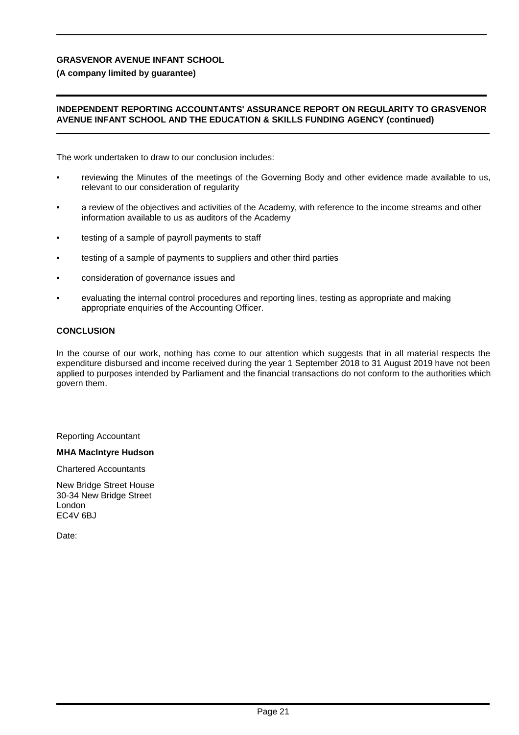#### **(A company limited by guarantee)**

#### **INDEPENDENT REPORTING ACCOUNTANTS' ASSURANCE REPORT ON REGULARITY TO GRASVENOR AVENUE INFANT SCHOOL AND THE EDUCATION & SKILLS FUNDING AGENCY (continued)**

The work undertaken to draw to our conclusion includes:

- reviewing the Minutes of the meetings of the Governing Body and other evidence made available to us, relevant to our consideration of regularity
- a review of the objectives and activities of the Academy, with reference to the income streams and other information available to us as auditors of the Academy
- testing of a sample of payroll payments to staff
- testing of a sample of payments to suppliers and other third parties
- consideration of governance issues and
- evaluating the internal control procedures and reporting lines, testing as appropriate and making appropriate enquiries of the Accounting Officer.

#### **CONCLUSION**

In the course of our work, nothing has come to our attention which suggests that in all material respects the expenditure disbursed and income received during the year 1 September 2018 to 31 August 2019 have not been applied to purposes intended by Parliament and the financial transactions do not conform to the authorities which govern them.

Reporting Accountant

#### **MHA MacIntyre Hudson**

Chartered Accountants

New Bridge Street House 30-34 New Bridge Street London EC4V 6BJ

Date: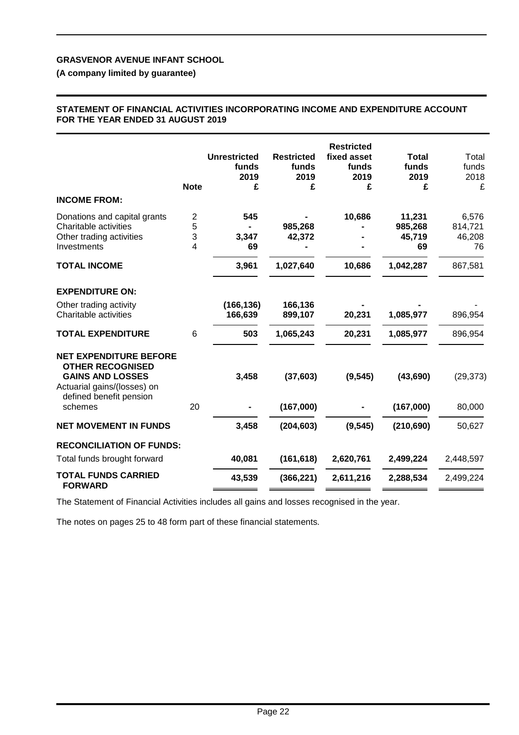## **(A company limited by guarantee)**

#### **STATEMENT OF FINANCIAL ACTIVITIES INCORPORATING INCOME AND EXPENDITURE ACCOUNT FOR THE YEAR ENDED 31 AUGUST 2019**

| <b>INCOME FROM:</b>                                                                                                | <b>Note</b>    | <b>Unrestricted</b><br>funds<br>2019<br>£ | <b>Restricted</b><br>funds<br>2019<br>£ | <b>Restricted</b><br>fixed asset<br>funds<br>2019<br>£ | <b>Total</b><br>funds<br>2019<br>£ | Total<br>funds<br>2018<br>£ |
|--------------------------------------------------------------------------------------------------------------------|----------------|-------------------------------------------|-----------------------------------------|--------------------------------------------------------|------------------------------------|-----------------------------|
|                                                                                                                    |                |                                           |                                         |                                                        |                                    |                             |
| Donations and capital grants                                                                                       | $\overline{2}$ | 545                                       |                                         | 10,686                                                 | 11,231                             | 6,576                       |
| Charitable activities                                                                                              | 5              |                                           | 985,268                                 |                                                        | 985,268                            | 814,721                     |
| Other trading activities                                                                                           | 3              | 3,347                                     | 42,372                                  |                                                        | 45,719                             | 46,208                      |
| Investments                                                                                                        | 4              | 69                                        |                                         |                                                        | 69                                 | 76                          |
| <b>TOTAL INCOME</b>                                                                                                |                | 3,961                                     | 1,027,640                               | 10,686                                                 | 1,042,287                          | 867,581                     |
| <b>EXPENDITURE ON:</b>                                                                                             |                |                                           |                                         |                                                        |                                    |                             |
| Other trading activity                                                                                             |                | (166, 136)                                | 166,136                                 |                                                        |                                    |                             |
| Charitable activities                                                                                              |                | 166,639                                   | 899,107                                 | 20,231                                                 | 1,085,977                          | 896,954                     |
| <b>TOTAL EXPENDITURE</b>                                                                                           | 6              | 503                                       | 1,065,243                               | 20,231                                                 | 1,085,977                          | 896,954                     |
| <b>NET EXPENDITURE BEFORE</b><br><b>OTHER RECOGNISED</b><br><b>GAINS AND LOSSES</b><br>Actuarial gains/(losses) on |                | 3,458                                     | (37, 603)                               | (9, 545)                                               | (43, 690)                          | (29, 373)                   |
| defined benefit pension<br>schemes                                                                                 | 20             |                                           | (167,000)                               |                                                        | (167,000)                          | 80,000                      |
| <b>NET MOVEMENT IN FUNDS</b>                                                                                       |                | 3,458                                     | (204, 603)                              | (9, 545)                                               | (210, 690)                         | 50,627                      |
| <b>RECONCILIATION OF FUNDS:</b>                                                                                    |                |                                           |                                         |                                                        |                                    |                             |
| Total funds brought forward                                                                                        |                | 40,081                                    | (161, 618)                              | 2,620,761                                              | 2,499,224                          | 2,448,597                   |
| <b>TOTAL FUNDS CARRIED</b><br><b>FORWARD</b>                                                                       |                | 43,539                                    | (366, 221)                              | 2,611,216                                              | 2,288,534                          | 2,499,224                   |
|                                                                                                                    |                |                                           |                                         |                                                        |                                    |                             |

The Statement of Financial Activities includes all gains and losses recognised in the year.

The notes on pages 25 to 48 form part of these financial statements.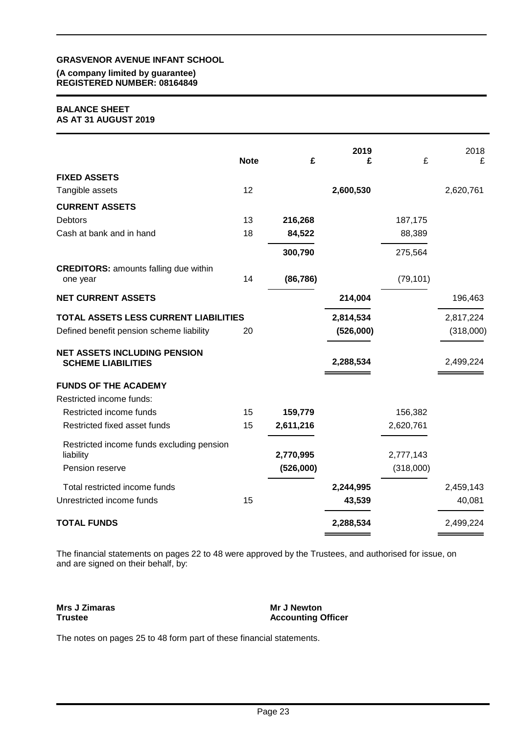#### **(A company limited by guarantee) REGISTERED NUMBER: 08164849**

#### **BALANCE SHEET AS AT 31 AUGUST 2019**

|                                                                  | <b>Note</b> | £         | 2019<br>£ | £         | 2018<br>£ |
|------------------------------------------------------------------|-------------|-----------|-----------|-----------|-----------|
| <b>FIXED ASSETS</b>                                              |             |           |           |           |           |
| Tangible assets                                                  | 12          |           | 2,600,530 |           | 2,620,761 |
| <b>CURRENT ASSETS</b>                                            |             |           |           |           |           |
| Debtors                                                          | 13          | 216,268   |           | 187,175   |           |
| Cash at bank and in hand                                         | 18          | 84,522    |           | 88,389    |           |
|                                                                  |             | 300,790   |           | 275,564   |           |
| <b>CREDITORS: amounts falling due within</b><br>one year         | 14          | (86, 786) |           | (79, 101) |           |
| <b>NET CURRENT ASSETS</b>                                        |             |           | 214,004   |           | 196,463   |
| TOTAL ASSETS LESS CURRENT LIABILITIES                            |             |           | 2,814,534 |           | 2,817,224 |
| Defined benefit pension scheme liability                         | 20          |           | (526,000) |           | (318,000) |
| <b>NET ASSETS INCLUDING PENSION</b><br><b>SCHEME LIABILITIES</b> |             |           | 2,288,534 |           | 2,499,224 |
| <b>FUNDS OF THE ACADEMY</b>                                      |             |           |           |           |           |
| Restricted income funds:                                         |             |           |           |           |           |
| Restricted income funds                                          | 15          | 159,779   |           | 156,382   |           |
| Restricted fixed asset funds                                     | 15          | 2,611,216 |           | 2,620,761 |           |
| Restricted income funds excluding pension<br>liability           |             | 2,770,995 |           | 2,777,143 |           |
| Pension reserve                                                  |             | (526,000) |           | (318,000) |           |
| Total restricted income funds                                    |             |           | 2,244,995 |           | 2,459,143 |
| Unrestricted income funds                                        | 15          |           | 43,539    |           | 40,081    |
| <b>TOTAL FUNDS</b>                                               |             |           | 2,288,534 |           | 2,499,224 |

The financial statements on pages 22 to 48 were approved by the Trustees, and authorised for issue, on and are signed on their behalf, by:

**Mrs J Zimaras Trustee**

**Mr J Newton Accounting Officer**

The notes on pages 25 to 48 form part of these financial statements.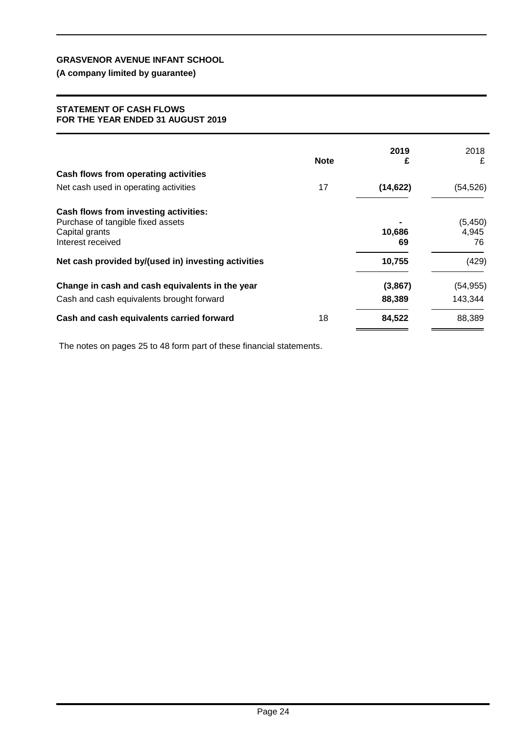## **(A company limited by guarantee)**

#### **STATEMENT OF CASH FLOWS FOR THE YEAR ENDED 31 AUGUST 2019**

|                                                                                                                   | <b>Note</b> | 2019<br>£    | 2018<br>£               |
|-------------------------------------------------------------------------------------------------------------------|-------------|--------------|-------------------------|
| Cash flows from operating activities                                                                              |             |              |                         |
| Net cash used in operating activities                                                                             | 17          | (14, 622)    | (54, 526)               |
| Cash flows from investing activities:<br>Purchase of tangible fixed assets<br>Capital grants<br>Interest received |             | 10,686<br>69 | (5, 450)<br>4,945<br>76 |
| Net cash provided by/(used in) investing activities                                                               |             | 10,755       | (429)                   |
| Change in cash and cash equivalents in the year                                                                   |             | (3,867)      | (54, 955)               |
| Cash and cash equivalents brought forward                                                                         |             | 88,389       | 143,344                 |
| Cash and cash equivalents carried forward                                                                         | 18          | 84,522       | 88,389                  |

The notes on pages 25 to 48 form part of these financial statements.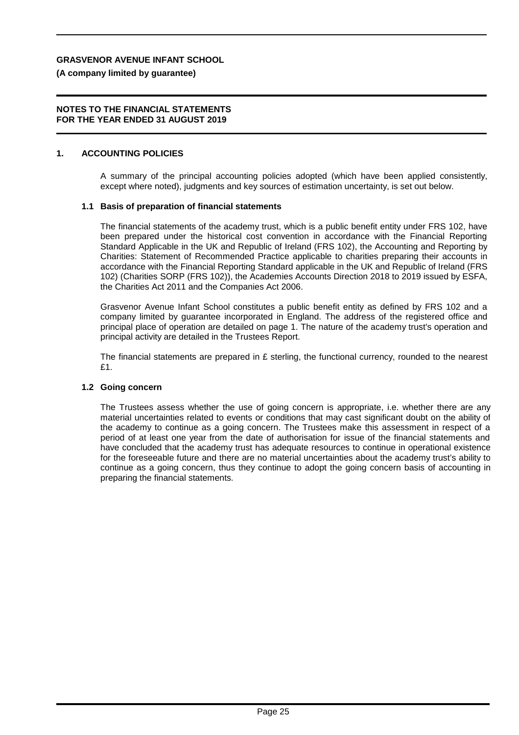#### **(A company limited by guarantee)**

#### **NOTES TO THE FINANCIAL STATEMENTS FOR THE YEAR ENDED 31 AUGUST 2019**

#### **1. ACCOUNTING POLICIES**

A summary of the principal accounting policies adopted (which have been applied consistently, except where noted), judgments and key sources of estimation uncertainty, is set out below.

#### **1.1 Basis of preparation of financial statements**

The financial statements of the academy trust, which is a public benefit entity under FRS 102, have been prepared under the historical cost convention in accordance with the Financial Reporting Standard Applicable in the UK and Republic of Ireland (FRS 102), the Accounting and Reporting by Charities: Statement of Recommended Practice applicable to charities preparing their accounts in accordance with the Financial Reporting Standard applicable in the UK and Republic of Ireland (FRS 102) (Charities SORP (FRS 102)), the Academies Accounts Direction 2018 to 2019 issued by ESFA, the Charities Act 2011 and the Companies Act 2006.

Grasvenor Avenue Infant School constitutes a public benefit entity as defined by FRS 102 and a company limited by guarantee incorporated in England. The address of the registered office and principal place of operation are detailed on page 1. The nature of the academy trust's operation and principal activity are detailed in the Trustees Report.

The financial statements are prepared in  $E$  sterling, the functional currency, rounded to the nearest £1.

#### **1.2 Going concern**

The Trustees assess whether the use of going concern is appropriate, i.e. whether there are any material uncertainties related to events or conditions that may cast significant doubt on the ability of the academy to continue as a going concern. The Trustees make this assessment in respect of a period of at least one year from the date of authorisation for issue of the financial statements and have concluded that the academy trust has adequate resources to continue in operational existence for the foreseeable future and there are no material uncertainties about the academy trust's ability to continue as a going concern, thus they continue to adopt the going concern basis of accounting in preparing the financial statements.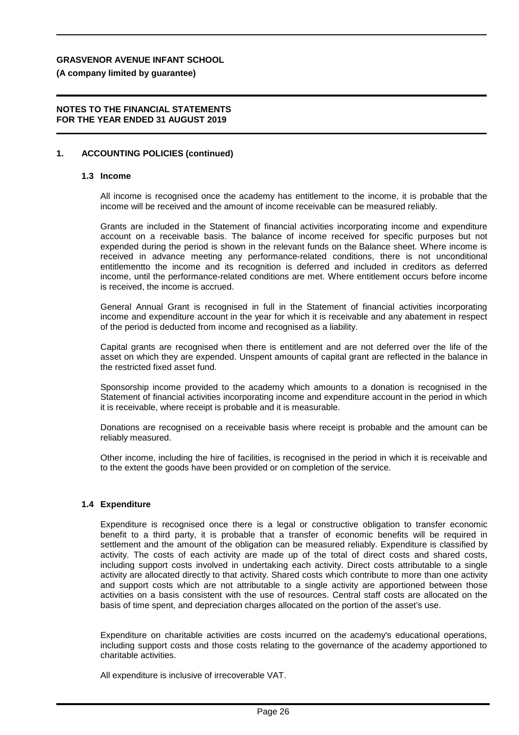**(A company limited by guarantee)**

#### **NOTES TO THE FINANCIAL STATEMENTS FOR THE YEAR ENDED 31 AUGUST 2019**

#### **1. ACCOUNTING POLICIES (continued)**

#### **1.3 Income**

All income is recognised once the academy has entitlement to the income, it is probable that the income will be received and the amount of income receivable can be measured reliably.

Grants are included in the Statement of financial activities incorporating income and expenditure account on a receivable basis. The balance of income received for specific purposes but not expended during the period is shown in the relevant funds on the Balance sheet. Where income is received in advance meeting any performance-related conditions, there is not unconditional entitlementto the income and its recognition is deferred and included in creditors as deferred income, until the performance-related conditions are met. Where entitlement occurs before income is received, the income is accrued.

General Annual Grant is recognised in full in the Statement of financial activities incorporating income and expenditure account in the year for which it is receivable and any abatement in respect of the period is deducted from income and recognised as a liability.

Capital grants are recognised when there is entitlement and are not deferred over the life of the asset on which they are expended. Unspent amounts of capital grant are reflected in the balance in the restricted fixed asset fund.

Sponsorship income provided to the academy which amounts to a donation is recognised in the Statement of financial activities incorporating income and expenditure account in the period in which it is receivable, where receipt is probable and it is measurable.

Donations are recognised on a receivable basis where receipt is probable and the amount can be reliably measured.

Other income, including the hire of facilities, is recognised in the period in which it is receivable and to the extent the goods have been provided or on completion of the service.

#### **1.4 Expenditure**

Expenditure is recognised once there is a legal or constructive obligation to transfer economic benefit to a third party, it is probable that a transfer of economic benefits will be required in settlement and the amount of the obligation can be measured reliably. Expenditure is classified by activity. The costs of each activity are made up of the total of direct costs and shared costs, including support costs involved in undertaking each activity. Direct costs attributable to a single activity are allocated directly to that activity. Shared costs which contribute to more than one activity and support costs which are not attributable to a single activity are apportioned between those activities on a basis consistent with the use of resources. Central staff costs are allocated on the basis of time spent, and depreciation charges allocated on the portion of the asset's use.

Expenditure on charitable activities are costs incurred on the academy's educational operations, including support costs and those costs relating to the governance of the academy apportioned to charitable activities.

All expenditure is inclusive of irrecoverable VAT.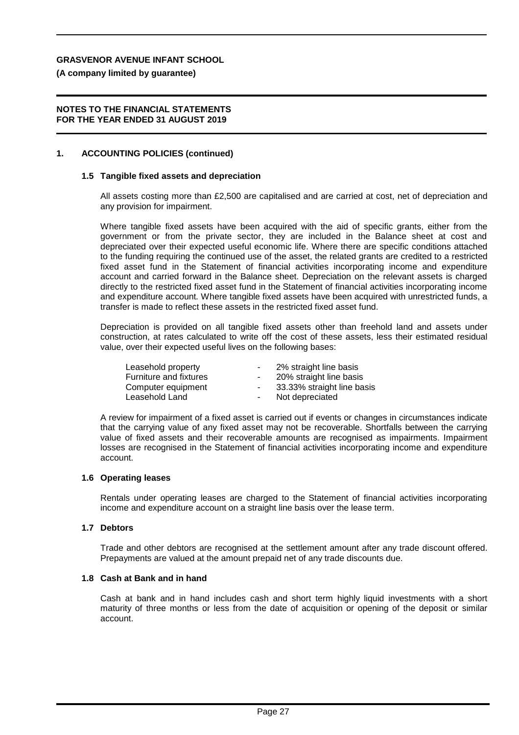**(A company limited by guarantee)**

#### **NOTES TO THE FINANCIAL STATEMENTS FOR THE YEAR ENDED 31 AUGUST 2019**

#### **1. ACCOUNTING POLICIES (continued)**

#### **1.5 Tangible fixed assets and depreciation**

All assets costing more than £2,500 are capitalised and are carried at cost, net of depreciation and any provision for impairment.

Where tangible fixed assets have been acquired with the aid of specific grants, either from the government or from the private sector, they are included in the Balance sheet at cost and depreciated over their expected useful economic life. Where there are specific conditions attached to the funding requiring the continued use of the asset, the related grants are credited to a restricted fixed asset fund in the Statement of financial activities incorporating income and expenditure account and carried forward in the Balance sheet. Depreciation on the relevant assets is charged directly to the restricted fixed asset fund in the Statement of financial activities incorporating income and expenditure account. Where tangible fixed assets have been acquired with unrestricted funds, a transfer is made to reflect these assets in the restricted fixed asset fund.

Depreciation is provided on all tangible fixed assets other than freehold land and assets under construction, at rates calculated to write off the cost of these assets, less their estimated residual value, over their expected useful lives on the following bases:

| Leasehold property     | $\sim$         | 2% straight line basis     |
|------------------------|----------------|----------------------------|
| Furniture and fixtures |                | 20% straight line basis    |
| Computer equipment     | $\sim$         | 33.33% straight line basis |
| Leasehold Land         | $\blacksquare$ | Not depreciated            |
|                        |                |                            |

A review for impairment of a fixed asset is carried out if events or changes in circumstances indicate that the carrying value of any fixed asset may not be recoverable. Shortfalls between the carrying value of fixed assets and their recoverable amounts are recognised as impairments. Impairment losses are recognised in the Statement of financial activities incorporating income and expenditure account.

#### **1.6 Operating leases**

Rentals under operating leases are charged to the Statement of financial activities incorporating income and expenditure account on a straight line basis over the lease term.

#### **1.7 Debtors**

Trade and other debtors are recognised at the settlement amount after any trade discount offered. Prepayments are valued at the amount prepaid net of any trade discounts due.

#### **1.8 Cash at Bank and in hand**

Cash at bank and in hand includes cash and short term highly liquid investments with a short maturity of three months or less from the date of acquisition or opening of the deposit or similar account.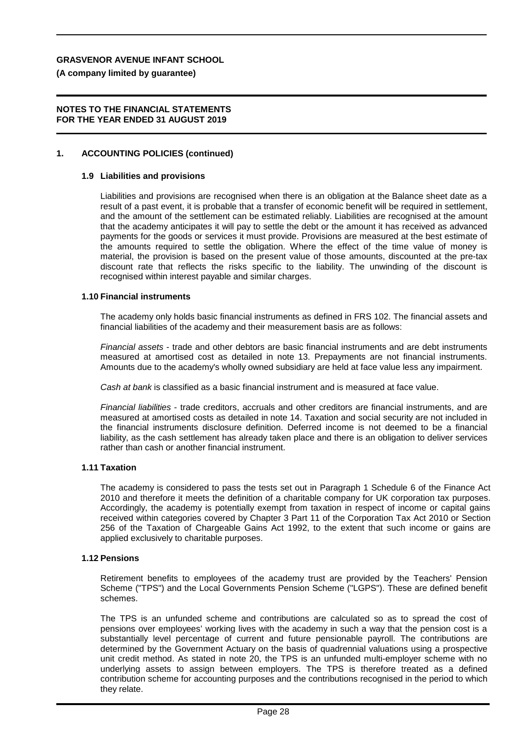**(A company limited by guarantee)**

#### **NOTES TO THE FINANCIAL STATEMENTS FOR THE YEAR ENDED 31 AUGUST 2019**

#### **1. ACCOUNTING POLICIES (continued)**

#### **1.9 Liabilities and provisions**

Liabilities and provisions are recognised when there is an obligation at the Balance sheet date as a result of a past event, it is probable that a transfer of economic benefit will be required in settlement, and the amount of the settlement can be estimated reliably. Liabilities are recognised at the amount that the academy anticipates it will pay to settle the debt or the amount it has received as advanced payments for the goods or services it must provide. Provisions are measured at the best estimate of the amounts required to settle the obligation. Where the effect of the time value of money is material, the provision is based on the present value of those amounts, discounted at the pre-tax discount rate that reflects the risks specific to the liability. The unwinding of the discount is recognised within interest payable and similar charges.

#### **1.10 Financial instruments**

The academy only holds basic financial instruments as defined in FRS 102. The financial assets and financial liabilities of the academy and their measurement basis are as follows:

*Financial assets* - trade and other debtors are basic financial instruments and are debt instruments measured at amortised cost as detailed in note 13. Prepayments are not financial instruments. Amounts due to the academy's wholly owned subsidiary are held at face value less any impairment.

*Cash at bank* is classified as a basic financial instrument and is measured at face value.

*Financial liabilities* - trade creditors, accruals and other creditors are financial instruments, and are measured at amortised costs as detailed in note 14. Taxation and social security are not included in the financial instruments disclosure definition. Deferred income is not deemed to be a financial liability, as the cash settlement has already taken place and there is an obligation to deliver services rather than cash or another financial instrument.

#### **1.11 Taxation**

The academy is considered to pass the tests set out in Paragraph 1 Schedule 6 of the Finance Act 2010 and therefore it meets the definition of a charitable company for UK corporation tax purposes. Accordingly, the academy is potentially exempt from taxation in respect of income or capital gains received within categories covered by Chapter 3 Part 11 of the Corporation Tax Act 2010 or Section 256 of the Taxation of Chargeable Gains Act 1992, to the extent that such income or gains are applied exclusively to charitable purposes.

#### **1.12 Pensions**

Retirement benefits to employees of the academy trust are provided by the Teachers' Pension Scheme ("TPS") and the Local Governments Pension Scheme ("LGPS"). These are defined benefit schemes.

The TPS is an unfunded scheme and contributions are calculated so as to spread the cost of pensions over employees' working lives with the academy in such a way that the pension cost is a substantially level percentage of current and future pensionable payroll. The contributions are determined by the Government Actuary on the basis of quadrennial valuations using a prospective unit credit method. As stated in note 20, the TPS is an unfunded multi-employer scheme with no underlying assets to assign between employers. The TPS is therefore treated as a defined contribution scheme for accounting purposes and the contributions recognised in the period to which they relate.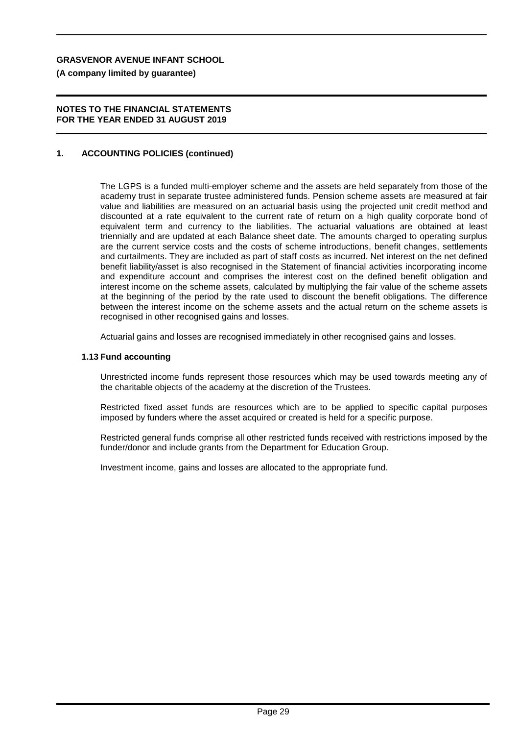**(A company limited by guarantee)**

#### **NOTES TO THE FINANCIAL STATEMENTS FOR THE YEAR ENDED 31 AUGUST 2019**

#### **1. ACCOUNTING POLICIES (continued)**

The LGPS is a funded multi-employer scheme and the assets are held separately from those of the academy trust in separate trustee administered funds. Pension scheme assets are measured at fair value and liabilities are measured on an actuarial basis using the projected unit credit method and discounted at a rate equivalent to the current rate of return on a high quality corporate bond of equivalent term and currency to the liabilities. The actuarial valuations are obtained at least triennially and are updated at each Balance sheet date. The amounts charged to operating surplus are the current service costs and the costs of scheme introductions, benefit changes, settlements and curtailments. They are included as part of staff costs as incurred. Net interest on the net defined benefit liability/asset is also recognised in the Statement of financial activities incorporating income and expenditure account and comprises the interest cost on the defined benefit obligation and interest income on the scheme assets, calculated by multiplying the fair value of the scheme assets at the beginning of the period by the rate used to discount the benefit obligations. The difference between the interest income on the scheme assets and the actual return on the scheme assets is recognised in other recognised gains and losses.

Actuarial gains and losses are recognised immediately in other recognised gains and losses.

#### **1.13 Fund accounting**

Unrestricted income funds represent those resources which may be used towards meeting any of the charitable objects of the academy at the discretion of the Trustees.

Restricted fixed asset funds are resources which are to be applied to specific capital purposes imposed by funders where the asset acquired or created is held for a specific purpose.

Restricted general funds comprise all other restricted funds received with restrictions imposed by the funder/donor and include grants from the Department for Education Group.

Investment income, gains and losses are allocated to the appropriate fund.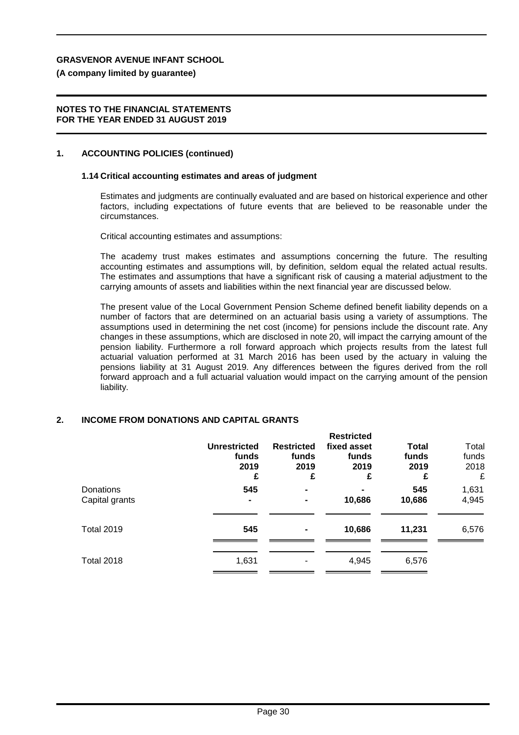**(A company limited by guarantee)**

#### **NOTES TO THE FINANCIAL STATEMENTS FOR THE YEAR ENDED 31 AUGUST 2019**

#### **1. ACCOUNTING POLICIES (continued)**

#### **1.14 Critical accounting estimates and areas of judgment**

Estimates and judgments are continually evaluated and are based on historical experience and other factors, including expectations of future events that are believed to be reasonable under the circumstances.

Critical accounting estimates and assumptions:

The academy trust makes estimates and assumptions concerning the future. The resulting accounting estimates and assumptions will, by definition, seldom equal the related actual results. The estimates and assumptions that have a significant risk of causing a material adjustment to the carrying amounts of assets and liabilities within the next financial year are discussed below.

The present value of the Local Government Pension Scheme defined benefit liability depends on a number of factors that are determined on an actuarial basis using a variety of assumptions. The assumptions used in determining the net cost (income) for pensions include the discount rate. Any changes in these assumptions, which are disclosed in note 20, will impact the carrying amount of the pension liability. Furthermore a roll forward approach which projects results from the latest full actuarial valuation performed at 31 March 2016 has been used by the actuary in valuing the pensions liability at 31 August 2019. Any differences between the figures derived from the roll forward approach and a full actuarial valuation would impact on the carrying amount of the pension liability.

#### **2. INCOME FROM DONATIONS AND CAPITAL GRANTS**

|                             | <b>Unrestricted</b><br>funds<br>2019<br>£ | <b>Restricted</b><br>funds<br>2019<br>£ | <b>Restricted</b><br>fixed asset<br>funds<br>2019<br>£ | <b>Total</b><br>funds<br>2019<br>£ | Total<br>funds<br>2018<br>£ |
|-----------------------------|-------------------------------------------|-----------------------------------------|--------------------------------------------------------|------------------------------------|-----------------------------|
| Donations<br>Capital grants | 545                                       | $\blacksquare$                          | 10,686                                                 | 545<br>10,686                      | 1,631<br>4,945              |
| <b>Total 2019</b>           | 545                                       | $\overline{\phantom{0}}$                | 10,686                                                 | 11,231                             | 6,576                       |
| <b>Total 2018</b>           | 1,631                                     |                                         | 4,945                                                  | 6,576                              |                             |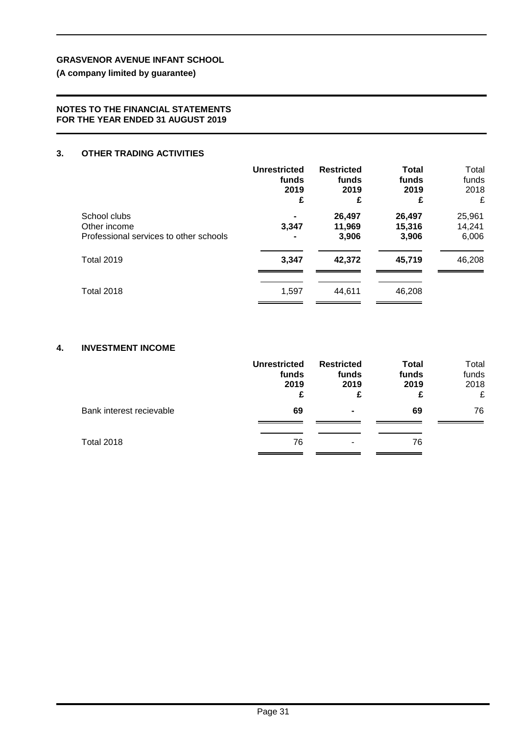**(A company limited by guarantee)**

#### **NOTES TO THE FINANCIAL STATEMENTS FOR THE YEAR ENDED 31 AUGUST 2019**

#### **3. OTHER TRADING ACTIVITIES**

|                                        | <b>Unrestricted</b> | <b>Restricted</b> | <b>Total</b> | Total  |
|----------------------------------------|---------------------|-------------------|--------------|--------|
|                                        | funds               | funds             | funds        | funds  |
|                                        | 2019                | 2019              | 2019         | 2018   |
|                                        | £                   | £                 | £            | £      |
| School clubs                           | 3,347               | 26,497            | 26,497       | 25,961 |
| Other income                           |                     | 11,969            | 15,316       | 14,241 |
| Professional services to other schools |                     | 3,906             | 3,906        | 6,006  |
| <b>Total 2019</b>                      | 3,347               | 42,372            | 45,719       | 46,208 |
| <b>Total 2018</b>                      | 1,597               | 44,611            | 46,208       |        |

#### **4. INVESTMENT INCOME**

|                          | <b>Unrestricted</b><br>funds<br>2019<br>£ | <b>Restricted</b><br>funds<br>2019<br>£ | <b>Total</b><br>funds<br>2019<br>£ | Total<br>funds<br>2018<br>£ |
|--------------------------|-------------------------------------------|-----------------------------------------|------------------------------------|-----------------------------|
| Bank interest recievable | 69                                        | ۰                                       | 69                                 | 76                          |
| <b>Total 2018</b>        | 76                                        | ۰                                       | 76                                 |                             |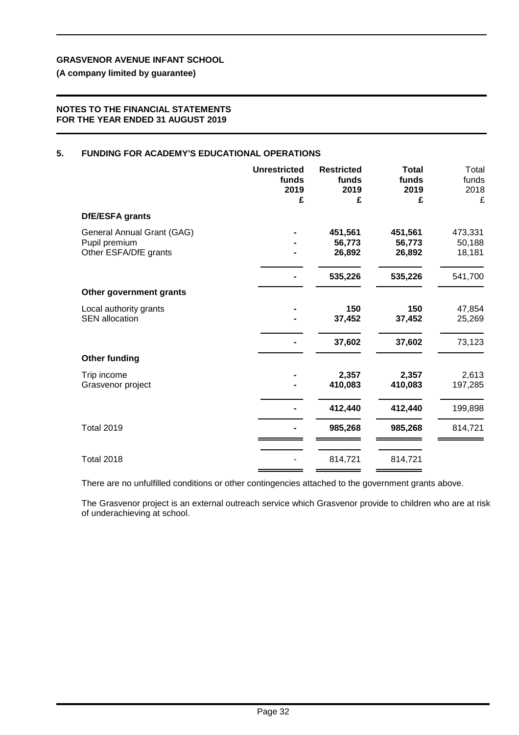**(A company limited by guarantee)**

#### **NOTES TO THE FINANCIAL STATEMENTS FOR THE YEAR ENDED 31 AUGUST 2019**

#### **5. FUNDING FOR ACADEMY'S EDUCATIONAL OPERATIONS**

|                                                                      | <b>Unrestricted</b><br>funds<br>2019<br>£ | <b>Restricted</b><br>funds<br>2019<br>£ | <b>Total</b><br>funds<br>2019<br>£ | Total<br>funds<br>2018<br>£ |
|----------------------------------------------------------------------|-------------------------------------------|-----------------------------------------|------------------------------------|-----------------------------|
| DfE/ESFA grants                                                      |                                           |                                         |                                    |                             |
| General Annual Grant (GAG)<br>Pupil premium<br>Other ESFA/DfE grants |                                           | 451,561<br>56,773<br>26,892             | 451,561<br>56,773<br>26,892        | 473,331<br>50,188<br>18,181 |
|                                                                      |                                           | 535,226                                 | 535,226                            | 541,700                     |
| Other government grants                                              |                                           |                                         |                                    |                             |
| Local authority grants<br><b>SEN</b> allocation                      |                                           | 150<br>37,452                           | 150<br>37,452                      | 47,854<br>25,269            |
|                                                                      |                                           | 37,602                                  | 37,602                             | 73,123                      |
| <b>Other funding</b>                                                 |                                           |                                         |                                    |                             |
| Trip income<br>Grasvenor project                                     |                                           | 2,357<br>410,083                        | 2,357<br>410,083                   | 2,613<br>197,285            |
|                                                                      |                                           | 412,440                                 | 412,440                            | 199,898                     |
| <b>Total 2019</b>                                                    |                                           | 985,268                                 | 985,268                            | 814,721                     |
| <b>Total 2018</b>                                                    |                                           | 814,721                                 | 814,721                            |                             |

There are no unfulfilled conditions or other contingencies attached to the government grants above.

The Grasvenor project is an external outreach service which Grasvenor provide to children who are at risk of underachieving at school.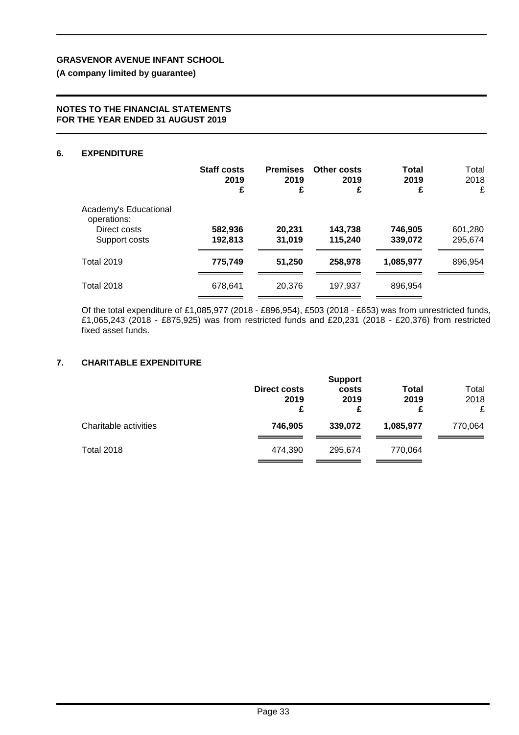**(A company limited by guarantee)**

#### **NOTES TO THE FINANCIAL STATEMENTS FOR THE YEAR ENDED 31 AUGUST 2019**

#### **6. EXPENDITURE**

|                                                                       | <b>Staff costs</b><br>2019<br>£ | <b>Premises</b><br>2019<br>£ | <b>Other costs</b><br>2019<br>£ | <b>Total</b><br>2019<br>£ | Total<br>2018<br>£ |
|-----------------------------------------------------------------------|---------------------------------|------------------------------|---------------------------------|---------------------------|--------------------|
| Academy's Educational<br>operations:<br>Direct costs<br>Support costs | 582,936<br>192,813              | 20,231<br>31,019             | 143,738<br>115,240              | 746,905<br>339,072        | 601,280<br>295,674 |
| <b>Total 2019</b>                                                     | 775,749                         | 51,250                       | 258,978                         | 1,085,977                 | 896,954            |
| <b>Total 2018</b>                                                     | 678,641                         | 20,376                       | 197,937                         | 896,954                   |                    |

Of the total expenditure of £1,085,977 (2018 - £896,954), £503 (2018 - £653) was from unrestricted funds, £1,065,243 (2018 - £875,925) was from restricted funds and £20,231 (2018 - £20,376) from restricted fixed asset funds.

#### **7. CHARITABLE EXPENDITURE**

|                       | <b>Direct costs</b><br>2019<br>£ | <b>Support</b><br>costs<br>2019<br>£ | <b>Total</b><br>2019<br>£ | Total<br>2018<br>£ |
|-----------------------|----------------------------------|--------------------------------------|---------------------------|--------------------|
| Charitable activities | 746,905                          | 339.072                              | 1,085,977                 | 770,064            |
| <b>Total 2018</b>     | 474.390                          | 295.674                              | 770,064                   |                    |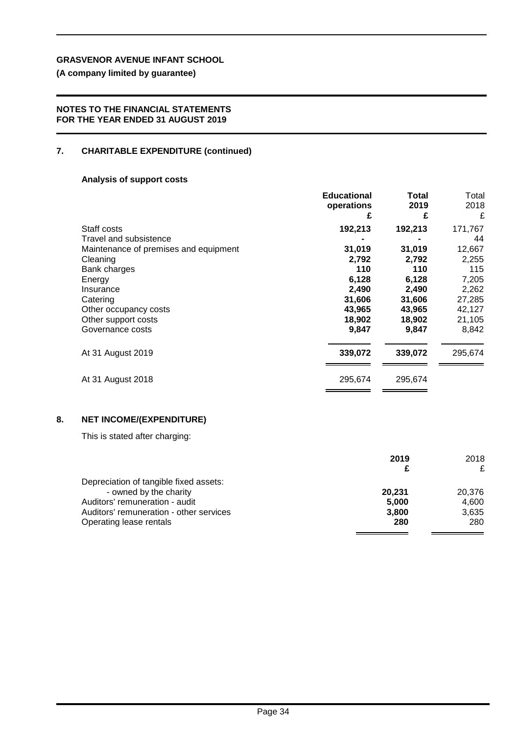**(A company limited by guarantee)**

#### **NOTES TO THE FINANCIAL STATEMENTS FOR THE YEAR ENDED 31 AUGUST 2019**

### **7. CHARITABLE EXPENDITURE (continued)**

### **Analysis of support costs**

|                                       | <b>Educational</b> | Total   | Total   |
|---------------------------------------|--------------------|---------|---------|
|                                       | operations         | 2019    | 2018    |
|                                       | £                  | £       | £       |
| Staff costs                           | 192,213            | 192,213 | 171,767 |
| Travel and subsistence                |                    |         | 44      |
| Maintenance of premises and equipment | 31,019             | 31,019  | 12,667  |
| Cleaning                              | 2,792              | 2,792   | 2,255   |
| Bank charges                          | 110                | 110     | 115     |
| Energy                                | 6,128              | 6,128   | 7,205   |
| Insurance                             | 2,490              | 2,490   | 2,262   |
| Catering                              | 31,606             | 31,606  | 27,285  |
| Other occupancy costs                 | 43,965             | 43,965  | 42,127  |
| Other support costs                   | 18,902             | 18,902  | 21,105  |
| Governance costs                      | 9,847              | 9,847   | 8,842   |
| At 31 August 2019                     | 339,072            | 339,072 | 295,674 |
| At 31 August 2018                     | 295,674            | 295,674 |         |

### **8. NET INCOME/(EXPENDITURE)**

This is stated after charging:

|                                         | 2019   | 2018   |
|-----------------------------------------|--------|--------|
|                                         |        | £      |
| Depreciation of tangible fixed assets:  |        |        |
| - owned by the charity                  | 20.231 | 20.376 |
| Auditors' remuneration - audit          | 5.000  | 4.600  |
| Auditors' remuneration - other services | 3,800  | 3.635  |
| Operating lease rentals                 | 280    | 280    |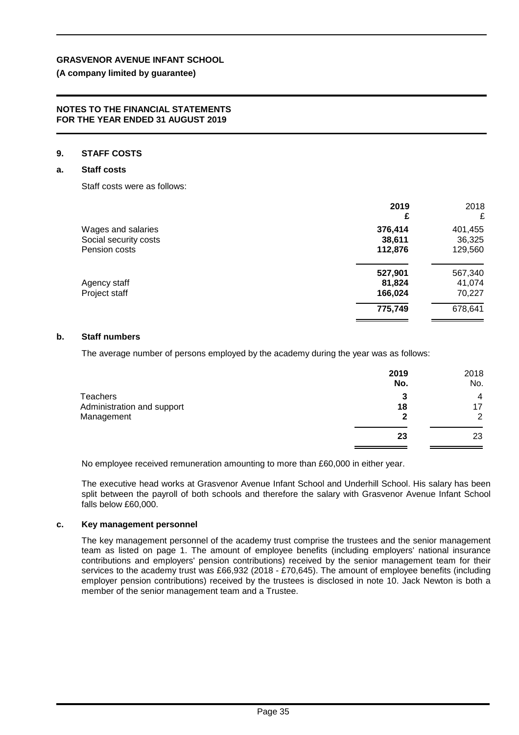#### **(A company limited by guarantee)**

#### **NOTES TO THE FINANCIAL STATEMENTS FOR THE YEAR ENDED 31 AUGUST 2019**

#### **9. STAFF COSTS**

#### **a. Staff costs**

Staff costs were as follows:

|                       | 2019<br>£ | 2018<br>£ |
|-----------------------|-----------|-----------|
| Wages and salaries    | 376,414   | 401,455   |
| Social security costs | 38,611    | 36,325    |
| Pension costs         | 112,876   | 129,560   |
|                       | 527,901   | 567,340   |
| Agency staff          | 81,824    | 41,074    |
| Project staff         | 166,024   | 70,227    |
|                       | 775,749   | 678,641   |

#### **b. Staff numbers**

The average number of persons employed by the academy during the year was as follows:

| 2019<br>No. | 2018<br>No. |
|-------------|-------------|
| 3           | 4           |
| 18          | 17          |
| 2           | 2           |
| 23          | 23          |
|             |             |

No employee received remuneration amounting to more than £60,000 in either year.

The executive head works at Grasvenor Avenue Infant School and Underhill School. His salary has been split between the payroll of both schools and therefore the salary with Grasvenor Avenue Infant School falls below £60,000.

#### **c. Key management personnel**

The key management personnel of the academy trust comprise the trustees and the senior management team as listed on page 1. The amount of employee benefits (including employers' national insurance contributions and employers' pension contributions) received by the senior management team for their services to the academy trust was £66,932 (2018 - £70,645). The amount of employee benefits (including employer pension contributions) received by the trustees is disclosed in note 10. Jack Newton is both a member of the senior management team and a Trustee.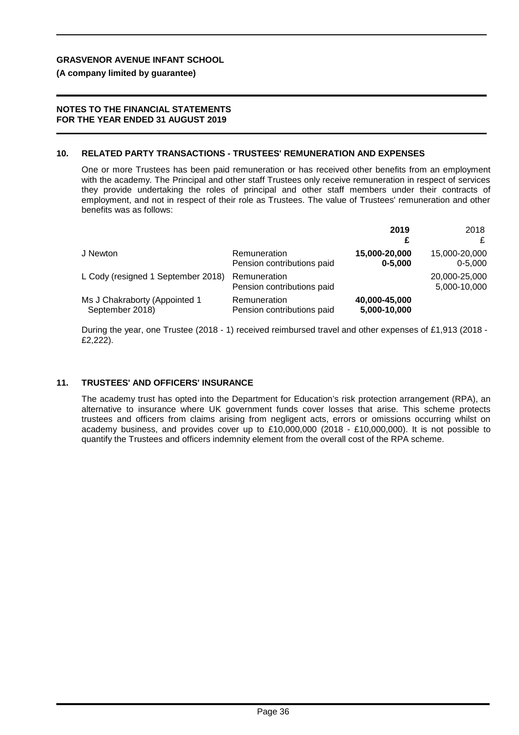#### **(A company limited by guarantee)**

#### **NOTES TO THE FINANCIAL STATEMENTS FOR THE YEAR ENDED 31 AUGUST 2019**

#### **10. RELATED PARTY TRANSACTIONS - TRUSTEES' REMUNERATION AND EXPENSES**

One or more Trustees has been paid remuneration or has received other benefits from an employment with the academy. The Principal and other staff Trustees only receive remuneration in respect of services they provide undertaking the roles of principal and other staff members under their contracts of employment, and not in respect of their role as Trustees. The value of Trustees' remuneration and other benefits was as follows:

|                                    |                                            | 2019<br>£     | 2018                          |
|------------------------------------|--------------------------------------------|---------------|-------------------------------|
| J Newton                           | Remuneration                               | 15,000-20,000 | 15,000-20,000                 |
|                                    | Pension contributions paid                 | $0 - 5.000$   | $0 - 5.000$                   |
| L Cody (resigned 1 September 2018) | Remuneration<br>Pension contributions paid |               | 20,000-25,000<br>5,000-10,000 |
| Ms J Chakraborty (Appointed 1      | Remuneration                               | 40,000-45,000 |                               |
| September 2018)                    | Pension contributions paid                 | 5,000-10,000  |                               |

During the year, one Trustee (2018 - 1) received reimbursed travel and other expenses of £1,913 (2018 - £2,222).

#### **11. TRUSTEES' AND OFFICERS' INSURANCE**

The academy trust has opted into the Department for Education's risk protection arrangement (RPA), an alternative to insurance where UK government funds cover losses that arise. This scheme protects trustees and officers from claims arising from negligent acts, errors or omissions occurring whilst on academy business, and provides cover up to £10,000,000 (2018 - £10,000,000). It is not possible to quantify the Trustees and officers indemnity element from the overall cost of the RPA scheme.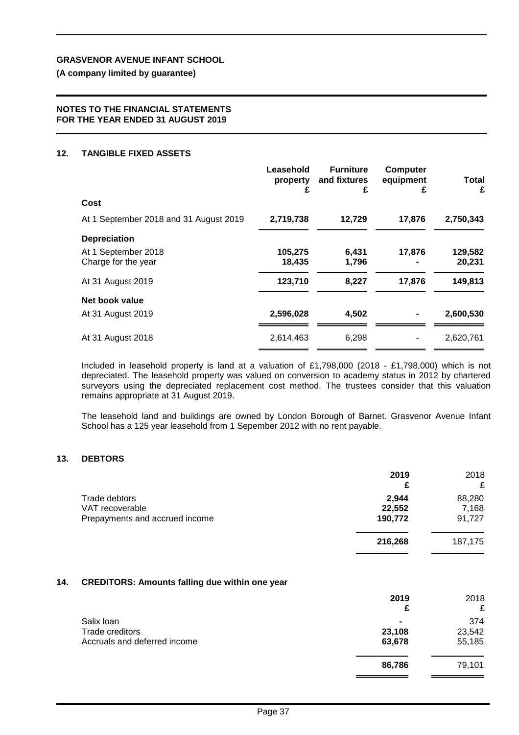**(A company limited by guarantee)**

#### **NOTES TO THE FINANCIAL STATEMENTS FOR THE YEAR ENDED 31 AUGUST 2019**

#### **12. TANGIBLE FIXED ASSETS**

|                                        | Leasehold<br>property<br>£ | <b>Furniture</b><br>and fixtures<br>£ | <b>Computer</b><br>equipment<br>£ | <b>Total</b><br>£ |
|----------------------------------------|----------------------------|---------------------------------------|-----------------------------------|-------------------|
| Cost                                   |                            |                                       |                                   |                   |
| At 1 September 2018 and 31 August 2019 | 2,719,738                  | 12,729                                | 17,876                            | 2,750,343         |
| <b>Depreciation</b>                    |                            |                                       |                                   |                   |
| At 1 September 2018                    | 105,275                    | 6,431                                 | 17,876                            | 129,582           |
| Charge for the year                    | 18,435                     | 1,796                                 |                                   | 20,231            |
| At 31 August 2019                      | 123,710                    | 8,227                                 | 17,876                            | 149,813           |
| Net book value                         |                            |                                       |                                   |                   |
| At 31 August 2019                      | 2,596,028                  | 4,502                                 |                                   | 2,600,530         |
| At 31 August 2018                      | 2,614,463                  | 6,298                                 |                                   | 2,620,761         |

Included in leasehold property is land at a valuation of £1,798,000 (2018 - £1,798,000) which is not depreciated. The leasehold property was valued on conversion to academy status in 2012 by chartered surveyors using the depreciated replacement cost method. The trustees consider that this valuation remains appropriate at 31 August 2019.

The leasehold land and buildings are owned by London Borough of Barnet. Grasvenor Avenue Infant School has a 125 year leasehold from 1 Sepember 2012 with no rent payable.

#### **13. DEBTORS**

|                                                                    | 2019<br>£                  | 2018<br>£                 |
|--------------------------------------------------------------------|----------------------------|---------------------------|
| Trade debtors<br>VAT recoverable<br>Prepayments and accrued income | 2,944<br>22,552<br>190,772 | 88,280<br>7,168<br>91,727 |
|                                                                    | 216,268                    | 187,175                   |

#### **14. CREDITORS: Amounts falling due within one year**

| 2019<br>£      | 2018<br>£ |
|----------------|-----------|
| $\blacksquare$ | 374       |
| 23,108         | 23,542    |
| 63,678         | 55,185    |
| 86,786         | 79,101    |
|                |           |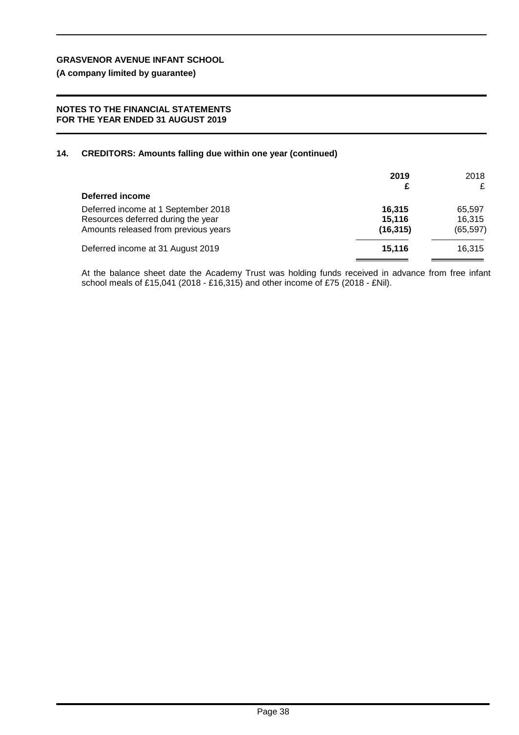**(A company limited by guarantee)**

#### **NOTES TO THE FINANCIAL STATEMENTS FOR THE YEAR ENDED 31 AUGUST 2019**

#### **14. CREDITORS: Amounts falling due within one year (continued)**

| Deferred income                                                                                                   | 2019<br>£                     | 2018<br>£                     |
|-------------------------------------------------------------------------------------------------------------------|-------------------------------|-------------------------------|
| Deferred income at 1 September 2018<br>Resources deferred during the year<br>Amounts released from previous years | 16.315<br>15,116<br>(16, 315) | 65,597<br>16,315<br>(65, 597) |
| Deferred income at 31 August 2019                                                                                 | 15.116                        | 16.315                        |

At the balance sheet date the Academy Trust was holding funds received in advance from free infant school meals of £15,041 (2018 - £16,315) and other income of £75 (2018 - £Nil).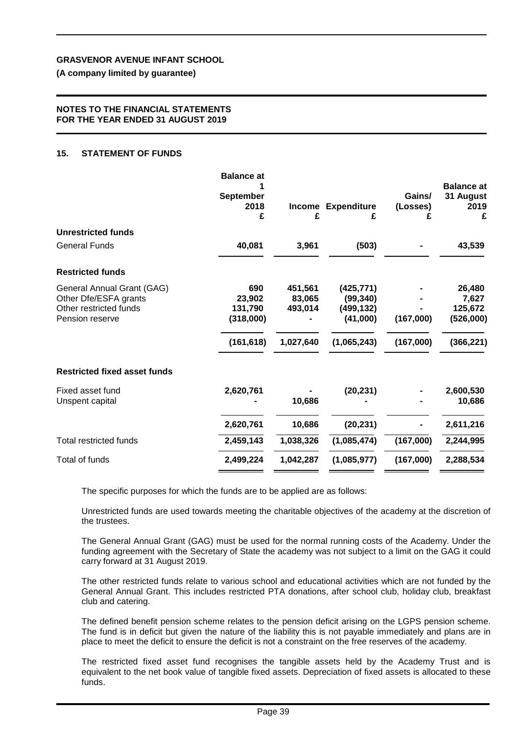**(A company limited by guarantee)**

#### **NOTES TO THE FINANCIAL STATEMENTS FOR THE YEAR ENDED 31 AUGUST 2019**

#### **15. STATEMENT OF FUNDS**

|                                                                                                  | <b>Balance at</b><br><b>September</b><br>2018<br>£ | <b>Income</b><br>£           | <b>Expenditure</b><br>£                           | Gains/<br>(Losses)<br>£ | <b>Balance at</b><br>31 August<br>2019<br>£ |
|--------------------------------------------------------------------------------------------------|----------------------------------------------------|------------------------------|---------------------------------------------------|-------------------------|---------------------------------------------|
| <b>Unrestricted funds</b>                                                                        |                                                    |                              |                                                   |                         |                                             |
| <b>General Funds</b>                                                                             | 40,081                                             | 3,961                        | (503)                                             |                         | 43,539                                      |
| <b>Restricted funds</b>                                                                          |                                                    |                              |                                                   |                         |                                             |
| General Annual Grant (GAG)<br>Other Dfe/ESFA grants<br>Other restricted funds<br>Pension reserve | 690<br>23,902<br>131.790<br>(318,000)              | 451,561<br>83,065<br>493,014 | (425, 771)<br>(99, 340)<br>(499, 132)<br>(41,000) | (167,000)               | 26,480<br>7,627<br>125,672<br>(526,000)     |
|                                                                                                  | (161, 618)                                         | 1,027,640                    | (1,065,243)                                       | (167,000)               | (366, 221)                                  |
| <b>Restricted fixed asset funds</b>                                                              |                                                    |                              |                                                   |                         |                                             |
| Fixed asset fund<br>Unspent capital                                                              | 2,620,761                                          | 10,686                       | (20, 231)                                         |                         | 2,600,530<br>10,686                         |
|                                                                                                  | 2,620,761                                          | 10,686                       | (20, 231)                                         |                         | 2,611,216                                   |
| Total restricted funds                                                                           | 2,459,143                                          | 1,038,326                    | (1,085,474)                                       | (167,000)               | 2,244,995                                   |
| Total of funds                                                                                   | 2,499,224                                          | 1,042,287                    | (1,085,977)                                       | (167,000)               | 2,288,534                                   |

The specific purposes for which the funds are to be applied are as follows:

Unrestricted funds are used towards meeting the charitable objectives of the academy at the discretion of the trustees.

The General Annual Grant (GAG) must be used for the normal running costs of the Academy. Under the funding agreement with the Secretary of State the academy was not subject to a limit on the GAG it could carry forward at 31 August 2019.

The other restricted funds relate to various school and educational activities which are not funded by the General Annual Grant. This includes restricted PTA donations, after school club, holiday club, breakfast club and catering.

The defined benefit pension scheme relates to the pension deficit arising on the LGPS pension scheme. The fund is in deficit but given the nature of the liability this is not payable immediately and plans are in place to meet the deficit to ensure the deficit is not a constraint on the free reserves of the academy.

The restricted fixed asset fund recognises the tangible assets held by the Academy Trust and is equivalent to the net book value of tangible fixed assets. Depreciation of fixed assets is allocated to these funds.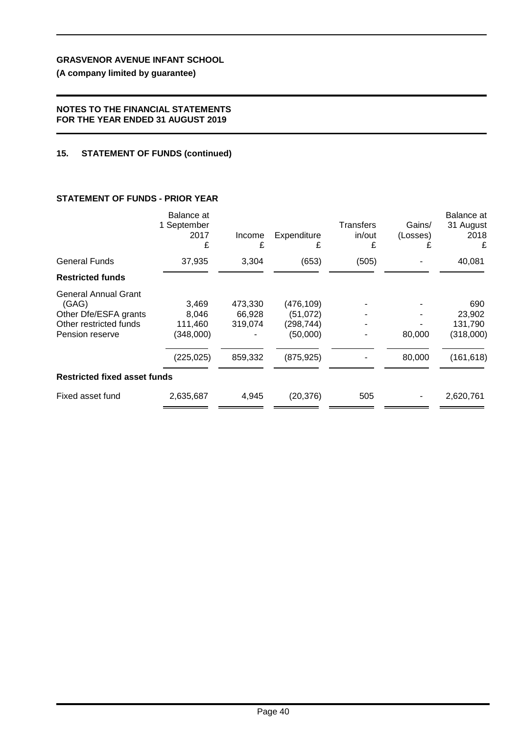**(A company limited by guarantee)**

#### **NOTES TO THE FINANCIAL STATEMENTS FOR THE YEAR ENDED 31 AUGUST 2019**

#### **15. STATEMENT OF FUNDS (continued)**

### **STATEMENT OF FUNDS - PRIOR YEAR**

|                                                                                                            | Balance at<br>1 September<br>2017<br>£               | Income<br>£                             | Expenditure<br>£                                               | Transfers<br>in/out<br>£ | Gains/<br>(Losses)<br>£ | <b>Balance</b> at<br>31 August<br>2018<br>£         |
|------------------------------------------------------------------------------------------------------------|------------------------------------------------------|-----------------------------------------|----------------------------------------------------------------|--------------------------|-------------------------|-----------------------------------------------------|
| <b>General Funds</b>                                                                                       | 37,935                                               | 3,304                                   | (653)                                                          | (505)                    |                         | 40,081                                              |
| <b>Restricted funds</b>                                                                                    |                                                      |                                         |                                                                |                          |                         |                                                     |
| <b>General Annual Grant</b><br>(GAG)<br>Other Dfe/ESFA grants<br>Other restricted funds<br>Pension reserve | 3,469<br>8,046<br>111,460<br>(348,000)<br>(225, 025) | 473,330<br>66,928<br>319,074<br>859,332 | (476, 109)<br>(51, 072)<br>(298,744)<br>(50,000)<br>(875, 925) |                          | 80,000<br>80,000        | 690<br>23,902<br>131,790<br>(318,000)<br>(161, 618) |
| <b>Restricted fixed asset funds</b>                                                                        |                                                      |                                         |                                                                |                          |                         |                                                     |
| Fixed asset fund                                                                                           | 2,635,687                                            | 4,945                                   | (20, 376)                                                      | 505                      |                         | 2,620,761                                           |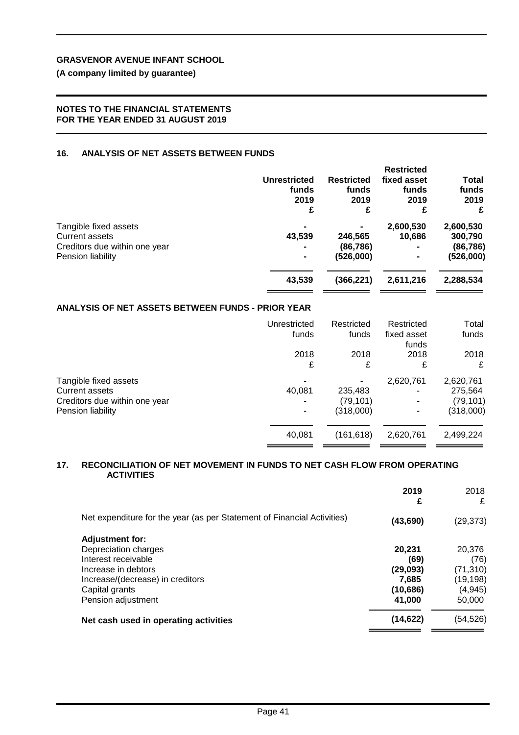## **(A company limited by guarantee)**

#### **NOTES TO THE FINANCIAL STATEMENTS FOR THE YEAR ENDED 31 AUGUST 2019**

#### **16. ANALYSIS OF NET ASSETS BETWEEN FUNDS**

|                               | <b>Unrestricted</b><br>funds<br>2019<br>£ | <b>Restricted</b><br>funds<br>2019<br>£ | <b>Restricted</b><br>fixed asset<br>funds<br>2019 | Total<br>funds<br>2019<br>£ |
|-------------------------------|-------------------------------------------|-----------------------------------------|---------------------------------------------------|-----------------------------|
| Tangible fixed assets         | $\blacksquare$                            |                                         | 2,600,530                                         | 2,600,530                   |
| <b>Current assets</b>         | 43,539                                    | 246,565                                 | 10.686                                            | 300,790                     |
| Creditors due within one year | $\blacksquare$                            | (86, 786)                               |                                                   | (86, 786)                   |
| Pension liability             | $\blacksquare$                            | (526,000)                               |                                                   | (526,000)                   |
|                               | 43,539                                    | (366, 221)                              | 2,611,216                                         | 2,288,534                   |

### **ANALYSIS OF NET ASSETS BETWEEN FUNDS - PRIOR YEAR**

|                               | Unrestricted | Restricted | Restricted           | Total     |
|-------------------------------|--------------|------------|----------------------|-----------|
|                               | funds        | funds      | fixed asset<br>funds | funds     |
|                               | 2018         | 2018       | 2018                 | 2018      |
|                               | £            | £          | £                    | £         |
| Tangible fixed assets         |              |            | 2,620,761            | 2,620,761 |
| <b>Current assets</b>         | 40,081       | 235,483    |                      | 275,564   |
| Creditors due within one year |              | (79, 101)  |                      | (79, 101) |
| Pension liability             |              | (318,000)  |                      | (318,000) |
|                               | 40,081       | (161, 618) | 2,620,761            | 2,499,224 |
|                               |              |            |                      |           |

#### **17. RECONCILIATION OF NET MOVEMENT IN FUNDS TO NET CASH FLOW FROM OPERATING ACTIVITIES**

|                                                                         | 2019<br>£ | 2018<br>£ |
|-------------------------------------------------------------------------|-----------|-----------|
| Net expenditure for the year (as per Statement of Financial Activities) | (43, 690) | (29, 373) |
| <b>Adjustment for:</b>                                                  |           |           |
| Depreciation charges                                                    | 20.231    | 20,376    |
| Interest receivable                                                     | (69)      | (76)      |
| Increase in debtors                                                     | (29,093)  | (71, 310) |
| Increase/(decrease) in creditors                                        | 7.685     | (19, 198) |
| Capital grants                                                          | (10, 686) | (4, 945)  |
| Pension adjustment                                                      | 41.000    | 50,000    |
| Net cash used in operating activities                                   | (14, 622) | (54,526)  |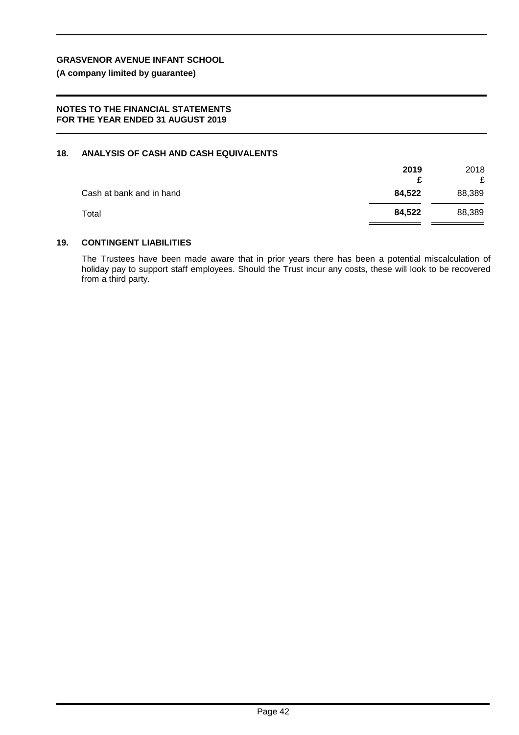**(A company limited by guarantee)**

#### **NOTES TO THE FINANCIAL STATEMENTS FOR THE YEAR ENDED 31 AUGUST 2019**

#### **18. ANALYSIS OF CASH AND CASH EQUIVALENTS**

|                          | 2019   | 2018<br>£ |
|--------------------------|--------|-----------|
| Cash at bank and in hand | 84,522 | 88,389    |
| Total                    | 84,522 | 88,389    |

#### **19. CONTINGENT LIABILITIES**

The Trustees have been made aware that in prior years there has been a potential miscalculation of holiday pay to support staff employees. Should the Trust incur any costs, these will look to be recovered from a third party.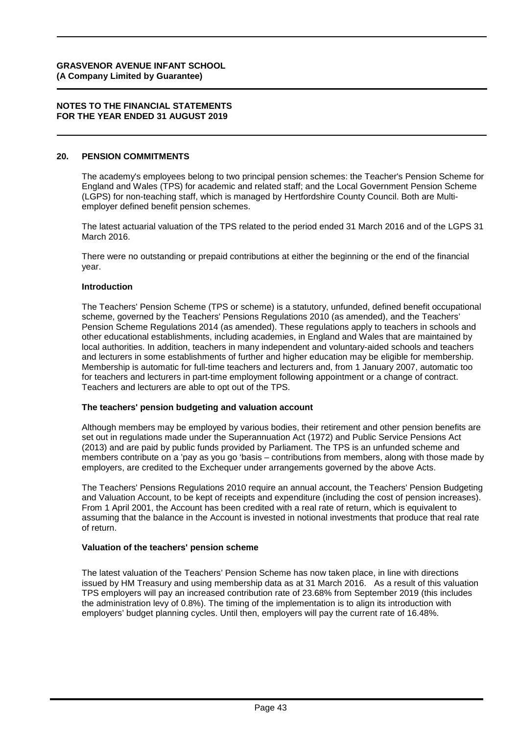#### **NOTES TO THE FINANCIAL STATEMENTS FOR THE YEAR ENDED 31 AUGUST 2019**

#### **20. PENSION COMMITMENTS**

The academy's employees belong to two principal pension schemes: the Teacher's Pension Scheme for England and Wales (TPS) for academic and related staff; and the Local Government Pension Scheme (LGPS) for non-teaching staff, which is managed by Hertfordshire County Council. Both are Multiemployer defined benefit pension schemes.

The latest actuarial valuation of the TPS related to the period ended 31 March 2016 and of the LGPS 31 March 2016.

There were no outstanding or prepaid contributions at either the beginning or the end of the financial year.

#### **Introduction**

The Teachers' Pension Scheme (TPS or scheme) is a statutory, unfunded, defined benefit occupational scheme, governed by the Teachers' Pensions Regulations 2010 (as amended), and the Teachers' Pension Scheme Regulations 2014 (as amended). These regulations apply to teachers in schools and other educational establishments, including academies, in England and Wales that are maintained by local authorities. In addition, teachers in many independent and voluntary-aided schools and teachers and lecturers in some establishments of further and higher education may be eligible for membership. Membership is automatic for full-time teachers and lecturers and, from 1 January 2007, automatic too for teachers and lecturers in part-time employment following appointment or a change of contract. Teachers and lecturers are able to opt out of the TPS.

#### **The teachers' pension budgeting and valuation account**

Although members may be employed by various bodies, their retirement and other pension benefits are set out in regulations made under the Superannuation Act (1972) and Public Service Pensions Act (2013) and are paid by public funds provided by Parliament. The TPS is an unfunded scheme and members contribute on a 'pay as you go 'basis – contributions from members, along with those made by employers, are credited to the Exchequer under arrangements governed by the above Acts.

The Teachers' Pensions Regulations 2010 require an annual account, the Teachers' Pension Budgeting and Valuation Account, to be kept of receipts and expenditure (including the cost of pension increases). From 1 April 2001, the Account has been credited with a real rate of return, which is equivalent to assuming that the balance in the Account is invested in notional investments that produce that real rate of return.

#### **Valuation of the teachers' pension scheme**

The latest valuation of the Teachers' Pension Scheme has now taken place, in line with directions issued by HM Treasury and using membership data as at 31 March 2016. As a result of this valuation TPS employers will pay an increased contribution rate of 23.68% from September 2019 (this includes the administration levy of 0.8%). The timing of the implementation is to align its introduction with employers' budget planning cycles. Until then, employers will pay the current rate of 16.48%.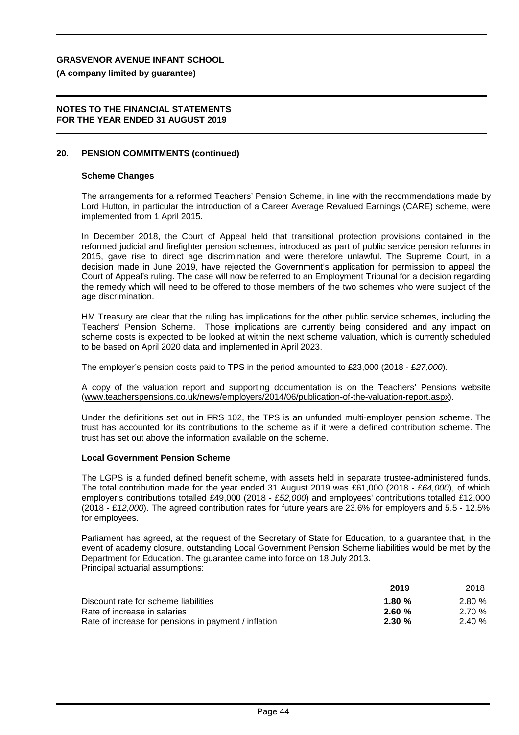**(A company limited by guarantee)**

#### **NOTES TO THE FINANCIAL STATEMENTS FOR THE YEAR ENDED 31 AUGUST 2019**

#### **20. PENSION COMMITMENTS (continued)**

#### **Scheme Changes**

The arrangements for a reformed Teachers' Pension Scheme, in line with the recommendations made by Lord Hutton, in particular the introduction of a Career Average Revalued Earnings (CARE) scheme, were implemented from 1 April 2015.

In December 2018, the Court of Appeal held that transitional protection provisions contained in the reformed judicial and firefighter pension schemes, introduced as part of public service pension reforms in 2015, gave rise to direct age discrimination and were therefore unlawful. The Supreme Court, in a decision made in June 2019, have rejected the Government's application for permission to appeal the Court of Appeal's ruling. The case will now be referred to an Employment Tribunal for a decision regarding the remedy which will need to be offered to those members of the two schemes who were subject of the age discrimination.

HM Treasury are clear that the ruling has implications for the other public service schemes, including the Teachers' Pension Scheme. Those implications are currently being considered and any impact on scheme costs is expected to be looked at within the next scheme valuation, which is currently scheduled to be based on April 2020 data and implemented in April 2023.

The employer's pension costs paid to TPS in the period amounted to £23,000 (2018 - £*27,000*).

A copy of the valuation report and supporting documentation is on the Teachers' Pensions website ([www.teacherspensions.co.uk/news/employers/2014/06/publication-of-the-valuation-report.aspx](http://www.teacherspensions.co.uk/news/employers/2014/06/publication-of-the-valuation-report.aspx)).

Under the definitions set out in FRS 102, the TPS is an unfunded multi-employer pension scheme. The trust has accounted for its contributions to the scheme as if it were a defined contribution scheme. The trust has set out above the information available on the scheme.

#### **Local Government Pension Scheme**

The LGPS is a funded defined benefit scheme, with assets held in separate trustee-administered funds. The total contribution made for the year ended 31 August 2019 was £61,000 (2018 - £*64,000*), of which employer's contributions totalled £49,000 (2018 - £*52,000*) and employees' contributions totalled £12,000 (2018 - £*12,000*). The agreed contribution rates for future years are 23.6% for employers and 5.5 - 12.5% for employees.

Parliament has agreed, at the request of the Secretary of State for Education, to a guarantee that, in the event of academy closure, outstanding Local Government Pension Scheme liabilities would be met by the Department for Education. The guarantee came into force on 18 July 2013. Principal actuarial assumptions:

|                                                      | 2019     | 2018  |
|------------------------------------------------------|----------|-------|
| Discount rate for scheme liabilities                 | 1.80 $%$ | 2.80% |
| Rate of increase in salaries                         | 2.60%    | 2.70% |
| Rate of increase for pensions in payment / inflation | 2.30%    | 2.40% |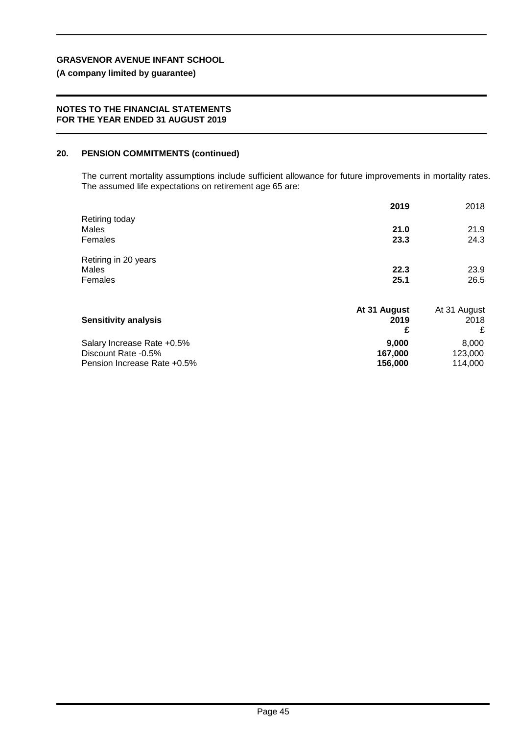## **(A company limited by guarantee)**

#### **NOTES TO THE FINANCIAL STATEMENTS FOR THE YEAR ENDED 31 AUGUST 2019**

#### **20. PENSION COMMITMENTS (continued)**

The current mortality assumptions include sufficient allowance for future improvements in mortality rates. The assumed life expectations on retirement age 65 are:

|                             | 2019         | 2018         |
|-----------------------------|--------------|--------------|
| Retiring today              |              |              |
| Males                       | 21.0         | 21.9         |
| Females                     | 23.3         | 24.3         |
| Retiring in 20 years        |              |              |
| Males                       | 22.3         | 23.9         |
| Females                     | 25.1         | 26.5         |
|                             | At 31 August | At 31 August |
| <b>Sensitivity analysis</b> | 2019         | 2018         |
|                             | £            | £            |
| Salary Increase Rate +0.5%  | 9,000        | 8,000        |
| Discount Rate -0.5%         | 167,000      | 123,000      |
| Pension Increase Rate +0.5% | 156,000      | 114,000      |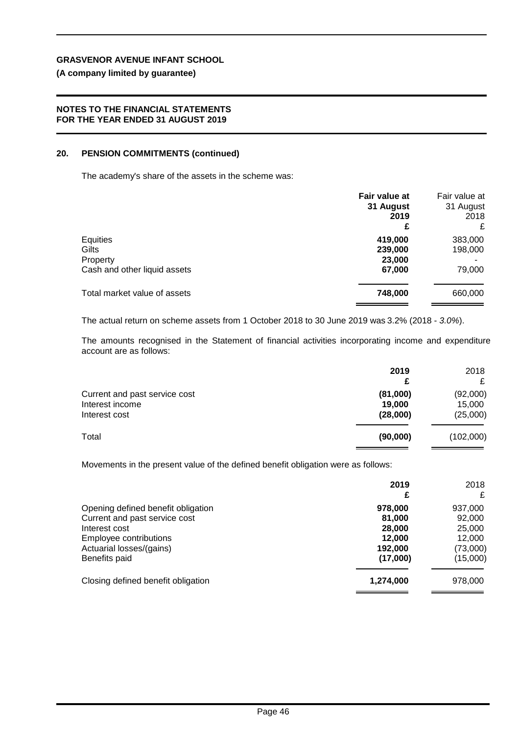#### **(A company limited by guarantee)**

#### **NOTES TO THE FINANCIAL STATEMENTS FOR THE YEAR ENDED 31 AUGUST 2019**

#### **20. PENSION COMMITMENTS (continued)**

The academy's share of the assets in the scheme was:

|                                                               | Fair value at<br>31 August<br>2019<br>£ | Fair value at<br>31 August<br>2018<br>£ |
|---------------------------------------------------------------|-----------------------------------------|-----------------------------------------|
| Equities<br>Gilts<br>Property<br>Cash and other liquid assets | 419,000<br>239,000<br>23,000<br>67,000  | 383,000<br>198,000<br>79,000            |
| Total market value of assets                                  | 748,000                                 | 660,000                                 |

The actual return on scheme assets from 1 October 2018 to 30 June 2019 was 3.2% (2018 - *3.0%*).

The amounts recognised in the Statement of financial activities incorporating income and expenditure account are as follows:

|                                                                   | 2019<br>£                      | 2018<br>£                      |
|-------------------------------------------------------------------|--------------------------------|--------------------------------|
| Current and past service cost<br>Interest income<br>Interest cost | (81,000)<br>19,000<br>(28,000) | (92,000)<br>15,000<br>(25,000) |
| Total                                                             | (90,000)                       | (102,000)                      |

Movements in the present value of the defined benefit obligation were as follows:

|                                         | 2019<br>£        | 2018<br>£        |
|-----------------------------------------|------------------|------------------|
| Opening defined benefit obligation      | 978,000          | 937,000          |
| Current and past service cost           | 81.000           | 92,000           |
| Interest cost<br>Employee contributions | 28,000<br>12.000 | 25,000<br>12,000 |
| Actuarial losses/(gains)                | 192,000          | (73,000)         |
| Benefits paid                           | (17,000)         | (15,000)         |
| Closing defined benefit obligation      | 1,274,000        | 978,000          |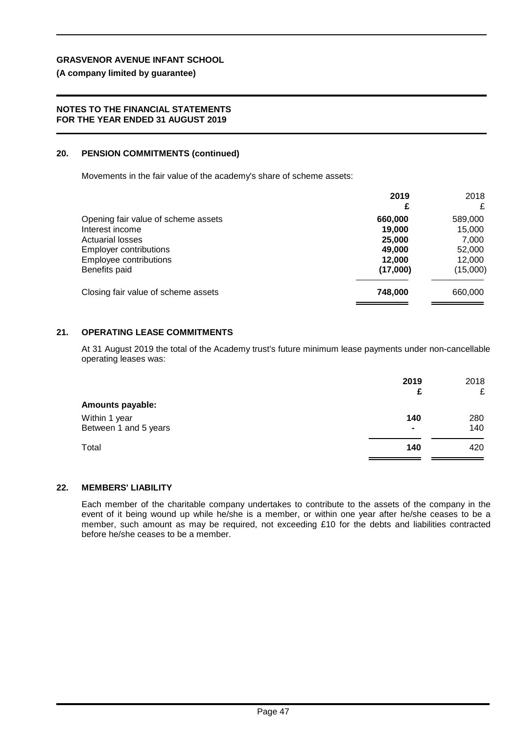**(A company limited by guarantee)**

#### **NOTES TO THE FINANCIAL STATEMENTS FOR THE YEAR ENDED 31 AUGUST 2019**

#### **20. PENSION COMMITMENTS (continued)**

Movements in the fair value of the academy's share of scheme assets:

|                                     | 2019<br>£ | 2018<br>£ |
|-------------------------------------|-----------|-----------|
|                                     |           |           |
| Opening fair value of scheme assets | 660.000   | 589,000   |
| Interest income                     | 19,000    | 15,000    |
| <b>Actuarial losses</b>             | 25,000    | 7,000     |
| <b>Employer contributions</b>       | 49.000    | 52,000    |
| Employee contributions              | 12.000    | 12.000    |
| Benefits paid                       | (17,000)  | (15,000)  |
| Closing fair value of scheme assets | 748.000   | 660,000   |
|                                     |           |           |

### **21. OPERATING LEASE COMMITMENTS**

At 31 August 2019 the total of the Academy trust's future minimum lease payments under non-cancellable operating leases was:

|                                        | 2019<br>£             | 2018<br>£  |
|----------------------------------------|-----------------------|------------|
| <b>Amounts payable:</b>                |                       |            |
| Within 1 year<br>Between 1 and 5 years | 140<br>$\blacksquare$ | 280<br>140 |
| Total                                  | 140                   | 420        |

#### **22. MEMBERS' LIABILITY**

Each member of the charitable company undertakes to contribute to the assets of the company in the event of it being wound up while he/she is a member, or within one year after he/she ceases to be a member, such amount as may be required, not exceeding £10 for the debts and liabilities contracted before he/she ceases to be a member.